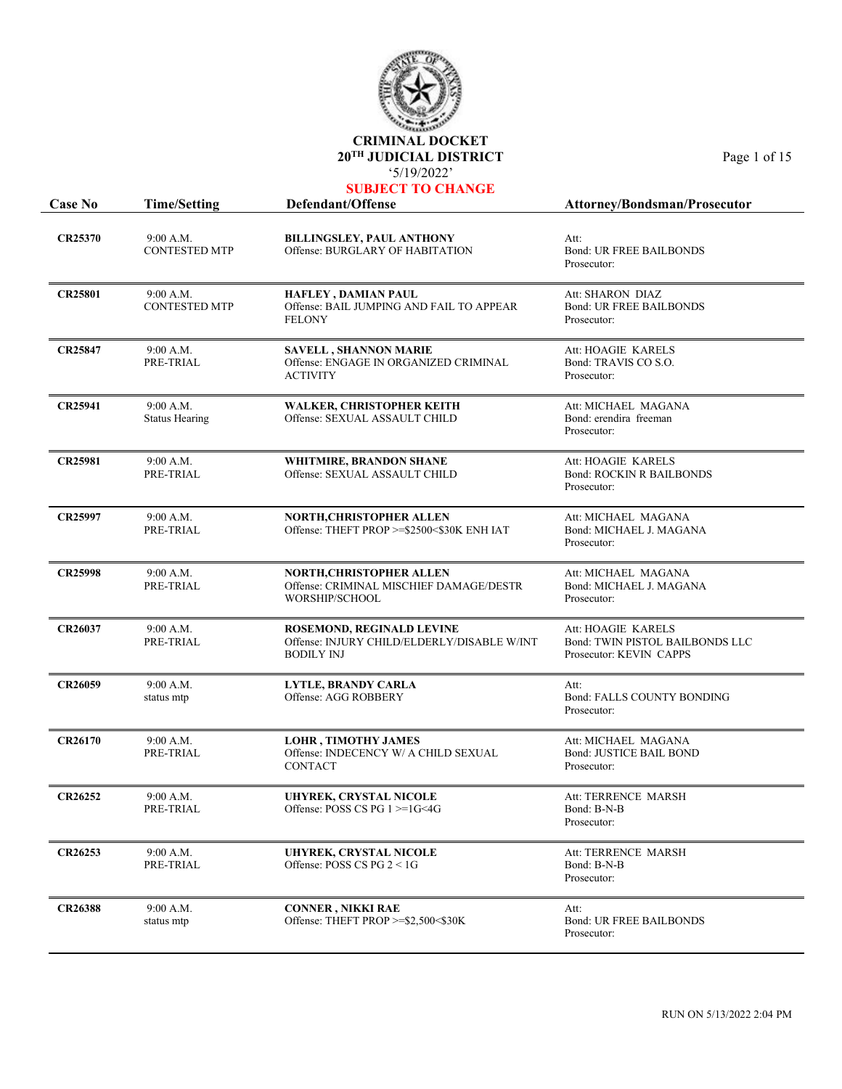

| <b>Case No</b> | <b>Time/Setting</b>                | Defendant/Offense                                                                             | <b>Attorney/Bondsman/Prosecutor</b>                                              |
|----------------|------------------------------------|-----------------------------------------------------------------------------------------------|----------------------------------------------------------------------------------|
| <b>CR25370</b> | 9:00 A.M.<br><b>CONTESTED MTP</b>  | <b>BILLINGSLEY, PAUL ANTHONY</b><br>Offense: BURGLARY OF HABITATION                           | Att:<br><b>Bond: UR FREE BAILBONDS</b><br>Prosecutor:                            |
| <b>CR25801</b> | 9:00 A.M.<br><b>CONTESTED MTP</b>  | <b>HAFLEY, DAMIAN PAUL</b><br>Offense: BAIL JUMPING AND FAIL TO APPEAR<br><b>FELONY</b>       | Att: SHARON DIAZ<br><b>Bond: UR FREE BAILBONDS</b><br>Prosecutor:                |
| <b>CR25847</b> | 9:00 A.M.<br>PRE-TRIAL             | <b>SAVELL, SHANNON MARIE</b><br>Offense: ENGAGE IN ORGANIZED CRIMINAL<br><b>ACTIVITY</b>      | Att: HOAGIE KARELS<br>Bond: TRAVIS CO S.O.<br>Prosecutor:                        |
| <b>CR25941</b> | 9:00 A.M.<br><b>Status Hearing</b> | <b>WALKER, CHRISTOPHER KEITH</b><br>Offense: SEXUAL ASSAULT CHILD                             | Att: MICHAEL MAGANA<br>Bond: erendira freeman<br>Prosecutor:                     |
| <b>CR25981</b> | 9:00 A.M.<br>PRE-TRIAL             | <b>WHITMIRE, BRANDON SHANE</b><br>Offense: SEXUAL ASSAULT CHILD                               | Att: HOAGIE KARELS<br><b>Bond: ROCKIN R BAILBONDS</b><br>Prosecutor:             |
| <b>CR25997</b> | 9:00 A.M.<br>PRE-TRIAL             | <b>NORTH, CHRISTOPHER ALLEN</b><br>Offense: THEFT PROP >=\$2500<\$30K ENH IAT                 | Att: MICHAEL MAGANA<br>Bond: MICHAEL J. MAGANA<br>Prosecutor:                    |
| <b>CR25998</b> | 9:00 A.M.<br>PRE-TRIAL             | NORTH,CHRISTOPHER ALLEN<br>Offense: CRIMINAL MISCHIEF DAMAGE/DESTR<br>WORSHIP/SCHOOL          | Att: MICHAEL MAGANA<br>Bond: MICHAEL J. MAGANA<br>Prosecutor:                    |
| CR26037        | 9:00 A.M.<br>PRE-TRIAL             | ROSEMOND, REGINALD LEVINE<br>Offense: INJURY CHILD/ELDERLY/DISABLE W/INT<br><b>BODILY INJ</b> | Att: HOAGIE KARELS<br>Bond: TWIN PISTOL BAILBONDS LLC<br>Prosecutor: KEVIN CAPPS |
| <b>CR26059</b> | 9:00 A.M.<br>status mtp            | <b>LYTLE, BRANDY CARLA</b><br>Offense: AGG ROBBERY                                            | Att:<br><b>Bond: FALLS COUNTY BONDING</b><br>Prosecutor:                         |
| <b>CR26170</b> | 9:00 A.M.<br>PRE-TRIAL             | <b>LOHR, TIMOTHY JAMES</b><br>Offense: INDECENCY W/ A CHILD SEXUAL<br><b>CONTACT</b>          | Att: MICHAEL MAGANA<br><b>Bond: JUSTICE BAIL BOND</b><br>Prosecutor:             |
| CR26252        | 9:00 A.M.<br>PRE-TRIAL             | UHYREK, CRYSTAL NICOLE<br>Offense: POSS CS PG 1 >=1G<4G                                       | Att: TERRENCE MARSH<br>Bond: B-N-B<br>Prosecutor:                                |
| CR26253        | 9:00 A.M.<br>PRE-TRIAL             | UHYREK, CRYSTAL NICOLE<br>Offense: POSS CS PG $2 < 1$ G                                       | Att: TERRENCE MARSH<br>Bond: B-N-B<br>Prosecutor:                                |
| <b>CR26388</b> | 9:00 A.M.<br>status mtp            | <b>CONNER, NIKKI RAE</b><br>Offense: THEFT PROP >=\$2,500<\$30K                               | Att:<br><b>Bond: UR FREE BAILBONDS</b><br>Prosecutor:                            |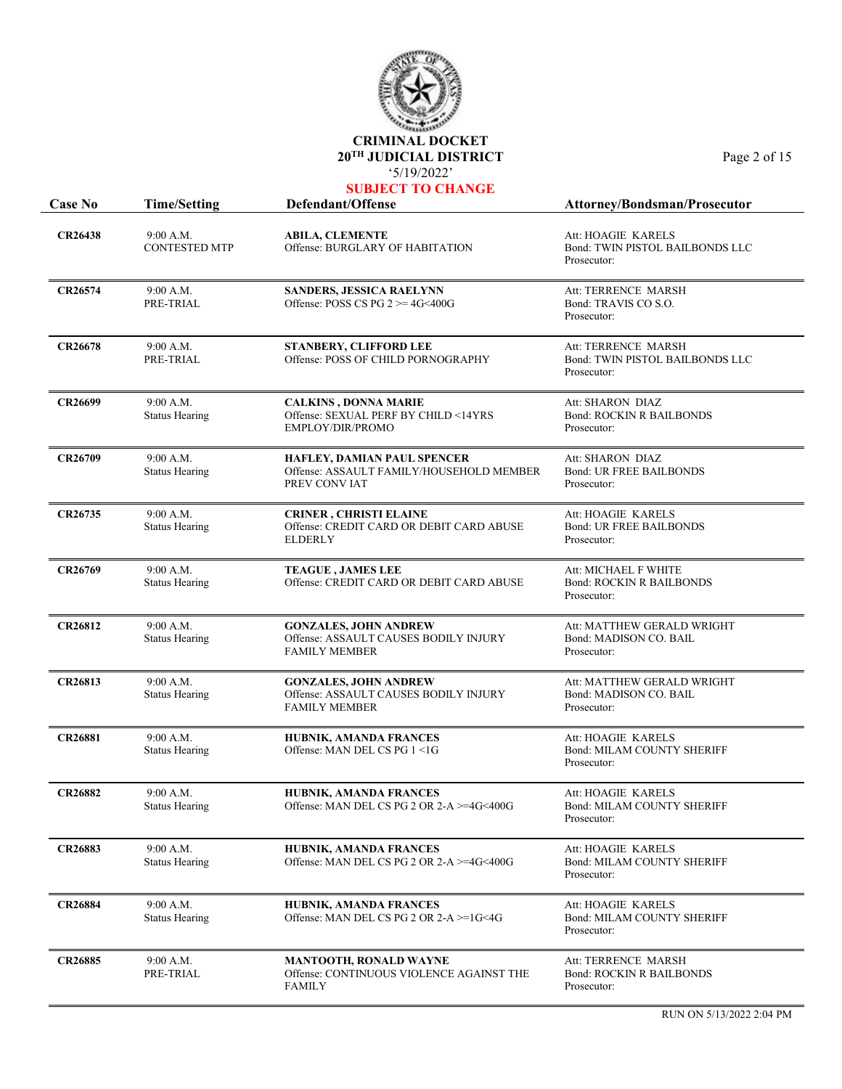

| <b>Case No</b> | <b>Time/Setting</b>                | Defendant/Offense                                                                             | <b>Attorney/Bondsman/Prosecutor</b>                                    |
|----------------|------------------------------------|-----------------------------------------------------------------------------------------------|------------------------------------------------------------------------|
| <b>CR26438</b> | 9:00 A.M.<br><b>CONTESTED MTP</b>  | ABILA, CLEMENTE<br>Offense: BURGLARY OF HABITATION                                            | Att: HOAGIE KARELS<br>Bond: TWIN PISTOL BAILBONDS LLC<br>Prosecutor:   |
| <b>CR26574</b> | 9:00 A.M.<br>PRE-TRIAL             | SANDERS, JESSICA RAELYNN<br>Offense: POSS CS PG $2 \ge 4$ G<400G                              | Att: TERRENCE MARSH<br>Bond: TRAVIS CO S.O.<br>Prosecutor:             |
| <b>CR26678</b> | 9:00 A.M.<br>PRE-TRIAL             | <b>STANBERY, CLIFFORD LEE</b><br>Offense: POSS OF CHILD PORNOGRAPHY                           | Att: TERRENCE MARSH<br>Bond: TWIN PISTOL BAILBONDS LLC<br>Prosecutor:  |
| CR26699        | 9:00 A.M.<br><b>Status Hearing</b> | <b>CALKINS, DONNA MARIE</b><br>Offense: SEXUAL PERF BY CHILD <14YRS<br>EMPLOY/DIR/PROMO       | Att: SHARON DIAZ<br><b>Bond: ROCKIN R BAILBONDS</b><br>Prosecutor:     |
| CR26709        | 9:00 A.M.<br><b>Status Hearing</b> | HAFLEY, DAMIAN PAUL SPENCER<br>Offense: ASSAULT FAMILY/HOUSEHOLD MEMBER<br>PREV CONVIAT       | Att: SHARON DIAZ<br><b>Bond: UR FREE BAILBONDS</b><br>Prosecutor:      |
| CR26735        | 9:00 A.M.<br><b>Status Hearing</b> | <b>CRINER, CHRISTI ELAINE</b><br>Offense: CREDIT CARD OR DEBIT CARD ABUSE<br><b>ELDERLY</b>   | Att: HOAGIE KARELS<br><b>Bond: UR FREE BAILBONDS</b><br>Prosecutor:    |
| CR26769        | 9:00 A.M.<br><b>Status Hearing</b> | <b>TEAGUE, JAMES LEE</b><br>Offense: CREDIT CARD OR DEBIT CARD ABUSE                          | Att: MICHAEL F WHITE<br><b>Bond: ROCKIN R BAILBONDS</b><br>Prosecutor: |
| <b>CR26812</b> | 9:00 A.M.<br><b>Status Hearing</b> | <b>GONZALES, JOHN ANDREW</b><br>Offense: ASSAULT CAUSES BODILY INJURY<br><b>FAMILY MEMBER</b> | Att: MATTHEW GERALD WRIGHT<br>Bond: MADISON CO. BAIL<br>Prosecutor:    |
| <b>CR26813</b> | 9:00 A.M.<br><b>Status Hearing</b> | <b>GONZALES, JOHN ANDREW</b><br>Offense: ASSAULT CAUSES BODILY INJURY<br><b>FAMILY MEMBER</b> | Att: MATTHEW GERALD WRIGHT<br>Bond: MADISON CO. BAIL<br>Prosecutor:    |
| <b>CR26881</b> | 9:00 A.M.<br><b>Status Hearing</b> | HUBNIK, AMANDA FRANCES<br>Offense: MAN DEL CS PG 1 <1G                                        | Att: HOAGIE KARELS<br>Bond: MILAM COUNTY SHERIFF<br>Prosecutor:        |
| <b>CR26882</b> | 9:00 A.M.<br><b>Status Hearing</b> | HUBNIK, AMANDA FRANCES<br>Offense: MAN DEL CS PG 2 OR 2-A >=4G<400G                           | Att: HOAGIE KARELS<br><b>Bond: MILAM COUNTY SHERIFF</b><br>Prosecutor: |
| <b>CR26883</b> | 9:00 A.M.<br><b>Status Hearing</b> | HUBNIK, AMANDA FRANCES<br>Offense: MAN DEL CS PG 2 OR 2-A >=4G<400G                           | Att: HOAGIE KARELS<br><b>Bond: MILAM COUNTY SHERIFF</b><br>Prosecutor: |
| <b>CR26884</b> | 9:00 A.M.<br><b>Status Hearing</b> | HUBNIK, AMANDA FRANCES<br>Offense: MAN DEL CS PG 2 OR 2-A >=1G<4G                             | Att: HOAGIE KARELS<br><b>Bond: MILAM COUNTY SHERIFF</b><br>Prosecutor: |
| <b>CR26885</b> | 9:00 A.M.<br>PRE-TRIAL             | MANTOOTH, RONALD WAYNE<br>Offense: CONTINUOUS VIOLENCE AGAINST THE<br><b>FAMILY</b>           | Att: TERRENCE MARSH<br><b>Bond: ROCKIN R BAILBONDS</b><br>Prosecutor:  |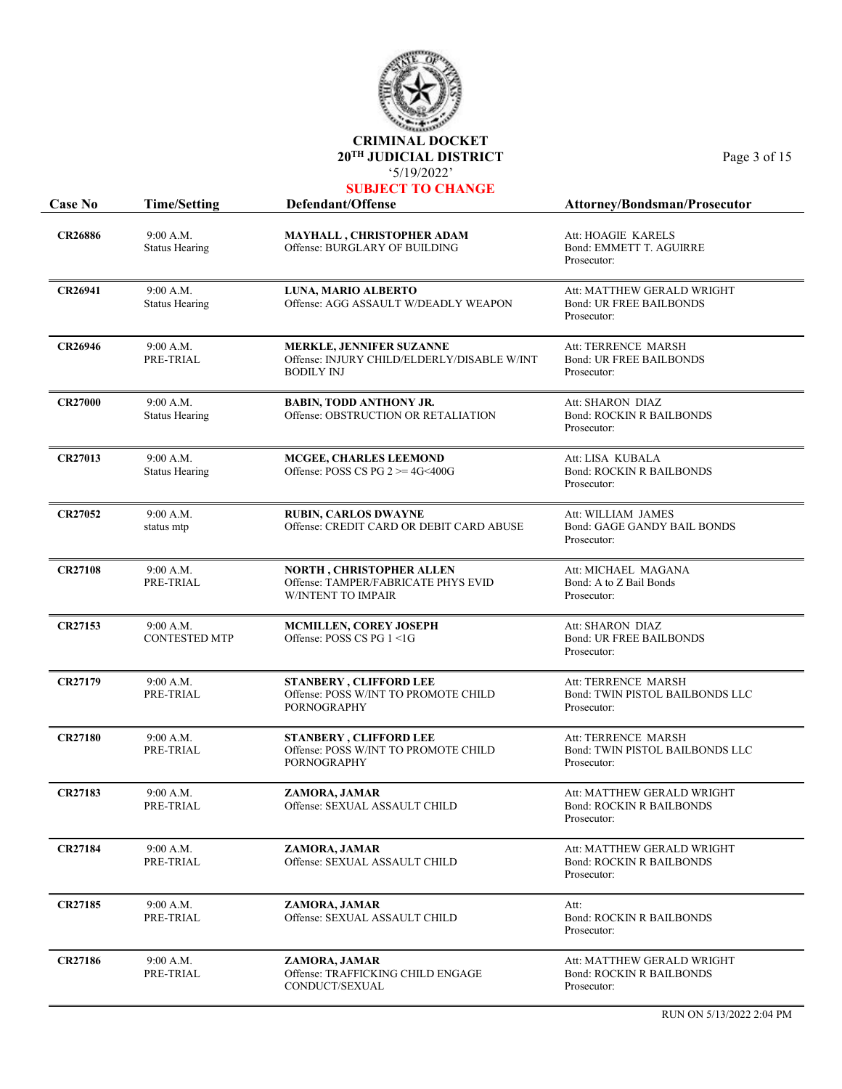

| <b>Case No</b> | <b>Time/Setting</b><br>Defendant/Offense |                                                                                                     | Attorney/Bondsman/Prosecutor                                                 |
|----------------|------------------------------------------|-----------------------------------------------------------------------------------------------------|------------------------------------------------------------------------------|
| <b>CR26886</b> | 9:00 A.M.<br><b>Status Hearing</b>       | MAYHALL, CHRISTOPHER ADAM<br>Offense: BURGLARY OF BUILDING                                          | Att: HOAGIE KARELS<br>Bond: EMMETT T. AGUIRRE<br>Prosecutor:                 |
| <b>CR26941</b> | 9:00 A.M.<br><b>Status Hearing</b>       | LUNA, MARIO ALBERTO<br>Offense: AGG ASSAULT W/DEADLY WEAPON                                         | Att: MATTHEW GERALD WRIGHT<br><b>Bond: UR FREE BAILBONDS</b><br>Prosecutor:  |
| CR26946        | 9:00 A.M.<br>PRE-TRIAL                   | <b>MERKLE, JENNIFER SUZANNE</b><br>Offense: INJURY CHILD/ELDERLY/DISABLE W/INT<br><b>BODILY INJ</b> | Att: TERRENCE MARSH<br><b>Bond: UR FREE BAILBONDS</b><br>Prosecutor:         |
| <b>CR27000</b> | 9:00 A.M.<br><b>Status Hearing</b>       | <b>BABIN, TODD ANTHONY JR.</b><br>Offense: OBSTRUCTION OR RETALIATION                               | Att: SHARON DIAZ<br><b>Bond: ROCKIN R BAILBONDS</b><br>Prosecutor:           |
| <b>CR27013</b> | 9:00 A.M.<br><b>Status Hearing</b>       | MCGEE, CHARLES LEEMOND<br>Offense: POSS CS PG $2 \ge 4$ G<400G                                      | Att: LISA KUBALA<br><b>Bond: ROCKIN R BAILBONDS</b><br>Prosecutor:           |
| <b>CR27052</b> | 9:00 A.M.<br>status mtp                  | <b>RUBIN, CARLOS DWAYNE</b><br>Offense: CREDIT CARD OR DEBIT CARD ABUSE                             | Att: WILLIAM JAMES<br>Bond: GAGE GANDY BAIL BONDS<br>Prosecutor:             |
| <b>CR27108</b> | 9:00 A.M.<br>PRE-TRIAL                   | <b>NORTH, CHRISTOPHER ALLEN</b><br>Offense: TAMPER/FABRICATE PHYS EVID<br>W/INTENT TO IMPAIR        | Att: MICHAEL MAGANA<br>Bond: A to Z Bail Bonds<br>Prosecutor:                |
| CR27153        | 9:00 A.M.<br><b>CONTESTED MTP</b>        | <b>MCMILLEN, COREY JOSEPH</b><br>Offense: POSS CS PG 1 <1G                                          | Att: SHARON DIAZ<br><b>Bond: UR FREE BAILBONDS</b><br>Prosecutor:            |
| <b>CR27179</b> | 9:00 A.M.<br>PRE-TRIAL                   | <b>STANBERY, CLIFFORD LEE</b><br>Offense: POSS W/INT TO PROMOTE CHILD<br><b>PORNOGRAPHY</b>         | Att: TERRENCE MARSH<br>Bond: TWIN PISTOL BAILBONDS LLC<br>Prosecutor:        |
| <b>CR27180</b> | 9:00 A.M.<br>PRE-TRIAL                   | <b>STANBERY, CLIFFORD LEE</b><br>Offense: POSS W/INT TO PROMOTE CHILD<br><b>PORNOGRAPHY</b>         | Att: TERRENCE MARSH<br>Bond: TWIN PISTOL BAILBONDS LLC<br>Prosecutor:        |
| <b>CR27183</b> | 9:00 A.M.<br>PRE-TRIAL                   | ZAMORA, JAMAR<br>Offense: SEXUAL ASSAULT CHILD                                                      | Att: MATTHEW GERALD WRIGHT<br><b>Bond: ROCKIN R BAILBONDS</b><br>Prosecutor: |
| <b>CR27184</b> | 9:00 A.M.<br>PRE-TRIAL                   | ZAMORA, JAMAR<br>Offense: SEXUAL ASSAULT CHILD                                                      | Att: MATTHEW GERALD WRIGHT<br><b>Bond: ROCKIN R BAILBONDS</b><br>Prosecutor: |
| <b>CR27185</b> | 9:00 A.M.<br>PRE-TRIAL                   | ZAMORA, JAMAR<br>Offense: SEXUAL ASSAULT CHILD                                                      | Att:<br><b>Bond: ROCKIN R BAILBONDS</b><br>Prosecutor:                       |
| <b>CR27186</b> | 9:00 A.M.<br>PRE-TRIAL                   | ZAMORA, JAMAR<br>Offense: TRAFFICKING CHILD ENGAGE<br>CONDUCT/SEXUAL                                | Att: MATTHEW GERALD WRIGHT<br><b>Bond: ROCKIN R BAILBONDS</b><br>Prosecutor: |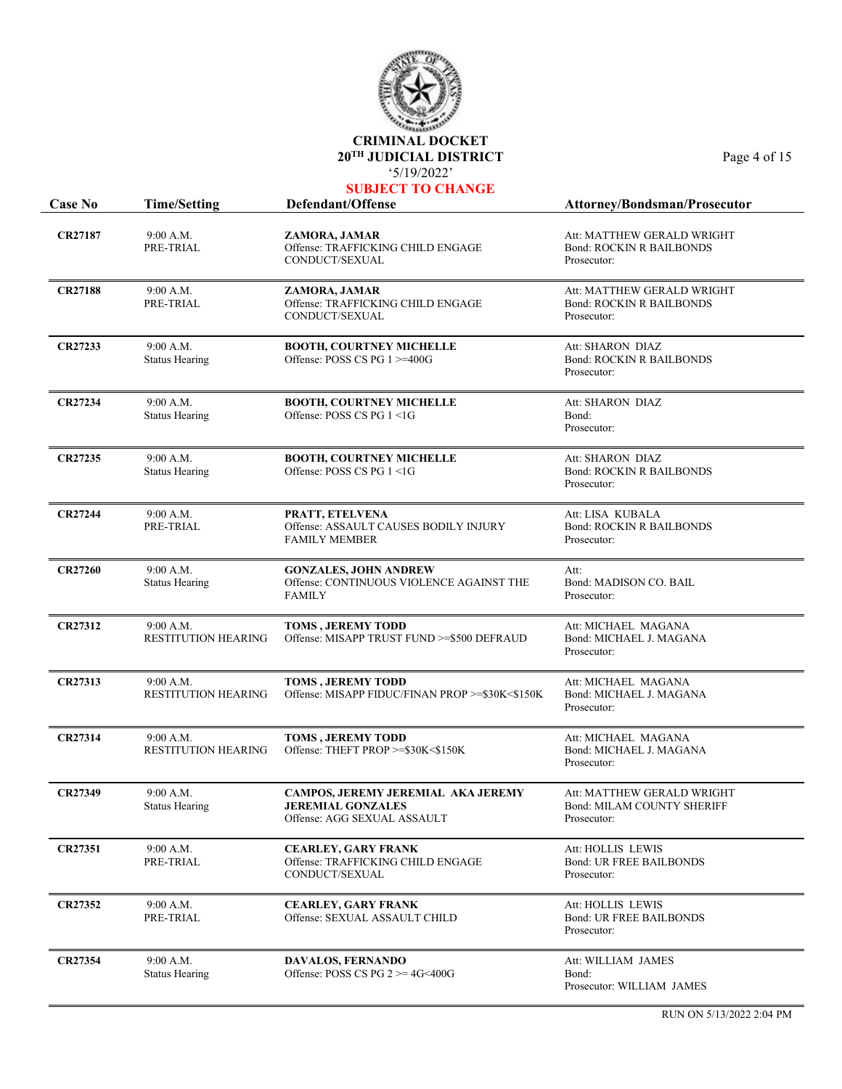

|                |                                         | 3/19/2022<br><b>SUBJECT TO CHANGE</b>                                                         |                                                                                |
|----------------|-----------------------------------------|-----------------------------------------------------------------------------------------------|--------------------------------------------------------------------------------|
| <b>Case No</b> | <b>Time/Setting</b>                     | Defendant/Offense                                                                             | <b>Attorney/Bondsman/Prosecutor</b>                                            |
| <b>CR27187</b> | 9:00 A.M.<br>PRE-TRIAL                  | ZAMORA, JAMAR<br>Offense: TRAFFICKING CHILD ENGAGE<br>CONDUCT/SEXUAL                          | Att: MATTHEW GERALD WRIGHT<br><b>Bond: ROCKIN R BAILBONDS</b><br>Prosecutor:   |
| <b>CR27188</b> | 9:00 A.M.<br>PRE-TRIAL                  | ZAMORA, JAMAR<br>Offense: TRAFFICKING CHILD ENGAGE<br>CONDUCT/SEXUAL                          | Att: MATTHEW GERALD WRIGHT<br><b>Bond: ROCKIN R BAILBONDS</b><br>Prosecutor:   |
| CR27233        | 9:00 A.M.<br><b>Status Hearing</b>      | <b>BOOTH, COURTNEY MICHELLE</b><br>Offense: POSS CS PG 1 >=400G                               | Att: SHARON DIAZ<br><b>Bond: ROCKIN R BAILBONDS</b><br>Prosecutor:             |
| <b>CR27234</b> | 9:00 A.M.<br><b>Status Hearing</b>      | BOOTH, COURTNEY MICHELLE<br>Offense: POSS CS PG 1 <1G                                         | Att: SHARON DIAZ<br>Bond:<br>Prosecutor:                                       |
| CR27235        | 9:00 A.M.<br><b>Status Hearing</b>      | <b>BOOTH, COURTNEY MICHELLE</b><br>Offense: POSS CS PG 1 <1G                                  | Att: SHARON DIAZ<br><b>Bond: ROCKIN R BAILBONDS</b><br>Prosecutor:             |
| <b>CR27244</b> | 9:00 A.M.<br>PRE-TRIAL                  | PRATT, ETELVENA<br>Offense: ASSAULT CAUSES BODILY INJURY<br><b>FAMILY MEMBER</b>              | Att: LISA KUBALA<br><b>Bond: ROCKIN R BAILBONDS</b><br>Prosecutor:             |
| <b>CR27260</b> | 9:00 A.M.<br><b>Status Hearing</b>      | <b>GONZALES, JOHN ANDREW</b><br>Offense: CONTINUOUS VIOLENCE AGAINST THE<br><b>FAMILY</b>     | Att:<br>Bond: MADISON CO. BAIL<br>Prosecutor:                                  |
| <b>CR27312</b> | 9:00 A.M.<br><b>RESTITUTION HEARING</b> | <b>TOMS, JEREMY TODD</b><br>Offense: MISAPP TRUST FUND >=\$500 DEFRAUD                        | Att: MICHAEL MAGANA<br>Bond: MICHAEL J. MAGANA<br>Prosecutor:                  |
| CR27313        | 9:00 A.M.<br><b>RESTITUTION HEARING</b> | <b>TOMS, JEREMY TODD</b><br>Offense: MISAPP FIDUC/FINAN PROP >=\$30K<\$150K                   | Att: MICHAEL MAGANA<br>Bond: MICHAEL J. MAGANA<br>Prosecutor:                  |
| <b>CR27314</b> | 9:00 A.M.<br><b>RESTITUTION HEARING</b> | <b>TOMS, JEREMY TODD</b><br>Offense: THEFT PROP >=\$30K<\$150K                                | Att: MICHAEL MAGANA<br>Bond: MICHAEL J. MAGANA<br>Prosecutor:                  |
| <b>CR27349</b> | 9:00 A.M.<br><b>Status Hearing</b>      | CAMPOS, JEREMY JEREMIAL AKA JEREMY<br><b>JEREMIAL GONZALES</b><br>Offense: AGG SEXUAL ASSAULT | Att: MATTHEW GERALD WRIGHT<br><b>Bond: MILAM COUNTY SHERIFF</b><br>Prosecutor: |
| <b>CR27351</b> | 9:00 A.M.<br>PRE-TRIAL                  | <b>CEARLEY, GARY FRANK</b><br>Offense: TRAFFICKING CHILD ENGAGE<br>CONDUCT/SEXUAL             | Att: HOLLIS LEWIS<br><b>Bond: UR FREE BAILBONDS</b><br>Prosecutor:             |
| <b>CR27352</b> | 9:00 A.M.<br>PRE-TRIAL                  | <b>CEARLEY, GARY FRANK</b><br>Offense: SEXUAL ASSAULT CHILD                                   | Att: HOLLIS LEWIS<br><b>Bond: UR FREE BAILBONDS</b><br>Prosecutor:             |
| <b>CR27354</b> | 9:00 A.M.<br><b>Status Hearing</b>      | <b>DAVALOS, FERNANDO</b><br>Offense: POSS CS PG $2 \ge 4$ G<400G                              | Att: WILLIAM JAMES<br>Bond:<br>Prosecutor: WILLIAM JAMES                       |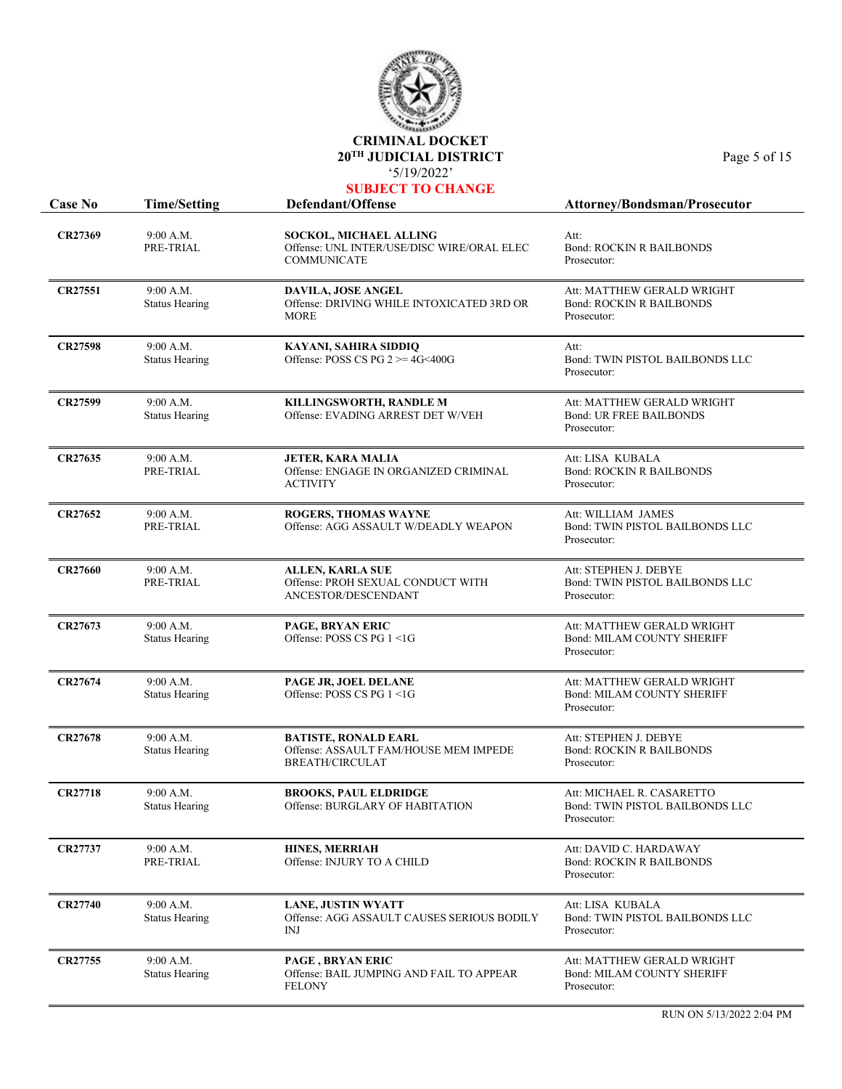

| UBJECT TO CHANGI |  |  |
|------------------|--|--|
|------------------|--|--|

| <b>Case No</b> | <b>Time/Setting</b>                | Defendant/Offense                                                                              | Attorney/Bondsman/Prosecutor                                                   |
|----------------|------------------------------------|------------------------------------------------------------------------------------------------|--------------------------------------------------------------------------------|
| CR27369        | 9:00 A.M.<br>PRE-TRIAL             | SOCKOL, MICHAEL ALLING<br>Offense: UNL INTER/USE/DISC WIRE/ORAL ELEC<br><b>COMMUNICATE</b>     | Att:<br><b>Bond: ROCKIN R BAILBONDS</b><br>Prosecutor:                         |
| <b>CR27551</b> | 9:00 A.M.<br><b>Status Hearing</b> | DAVILA, JOSE ANGEL<br>Offense: DRIVING WHILE INTOXICATED 3RD OR<br><b>MORE</b>                 | Att: MATTHEW GERALD WRIGHT<br><b>Bond: ROCKIN R BAILBONDS</b><br>Prosecutor:   |
| CR27598        | 9:00 A.M.<br><b>Status Hearing</b> | KAYANI, SAHIRA SIDDIQ<br>Offense: POSS CS PG $2 \ge 4$ G<400G                                  | Att:<br>Bond: TWIN PISTOL BAILBONDS LLC<br>Prosecutor:                         |
| CR27599        | 9:00 A.M.<br><b>Status Hearing</b> | KILLINGSWORTH, RANDLE M<br>Offense: EVADING ARREST DET W/VEH                                   | Att: MATTHEW GERALD WRIGHT<br><b>Bond: UR FREE BAILBONDS</b><br>Prosecutor:    |
| CR27635        | 9:00 A.M.<br>PRE-TRIAL             | <b>JETER, KARA MALIA</b><br>Offense: ENGAGE IN ORGANIZED CRIMINAL<br><b>ACTIVITY</b>           | Att: LISA KUBALA<br><b>Bond: ROCKIN R BAILBONDS</b><br>Prosecutor:             |
| CR27652        | 9:00 A.M.<br>PRE-TRIAL             | <b>ROGERS, THOMAS WAYNE</b><br>Offense: AGG ASSAULT W/DEADLY WEAPON                            | Att: WILLIAM JAMES<br>Bond: TWIN PISTOL BAILBONDS LLC<br>Prosecutor:           |
| CR27660        | 9:00 A.M.<br>PRE-TRIAL             | <b>ALLEN, KARLA SUE</b><br>Offense: PROH SEXUAL CONDUCT WITH<br>ANCESTOR/DESCENDANT            | Att: STEPHEN J. DEBYE<br>Bond: TWIN PISTOL BAILBONDS LLC<br>Prosecutor:        |
| CR27673        | 9:00 A.M.<br><b>Status Hearing</b> | <b>PAGE, BRYAN ERIC</b><br>Offense: POSS CS PG 1 <1G                                           | Att: MATTHEW GERALD WRIGHT<br><b>Bond: MILAM COUNTY SHERIFF</b><br>Prosecutor: |
| CR27674        | 9:00 A.M.<br><b>Status Hearing</b> | PAGE JR, JOEL DELANE<br>Offense: POSS CS PG 1 <1G                                              | Att: MATTHEW GERALD WRIGHT<br><b>Bond: MILAM COUNTY SHERIFF</b><br>Prosecutor: |
| <b>CR27678</b> | 9:00 A.M.<br><b>Status Hearing</b> | <b>BATISTE, RONALD EARL</b><br>Offense: ASSAULT FAM/HOUSE MEM IMPEDE<br><b>BREATH/CIRCULAT</b> | Att: STEPHEN J. DEBYE<br><b>Bond: ROCKIN R BAILBONDS</b><br>Prosecutor:        |
| <b>CR27718</b> | 9:00 A.M.<br>Status Hearing        | <b>BROOKS, PAUL ELDRIDGE</b><br>Offense: BURGLARY OF HABITATION                                | Att: MICHAEL R. CASARETTO<br>Bond: TWIN PISTOL BAILBONDS LLC<br>Prosecutor:    |
| CR27737        | 9:00 A.M.<br>PRE-TRIAL             | <b>HINES, MERRIAH</b><br>Offense: INJURY TO A CHILD                                            | Att: DAVID C. HARDAWAY<br><b>Bond: ROCKIN R BAILBONDS</b><br>Prosecutor:       |
| <b>CR27740</b> | 9:00 A.M.<br><b>Status Hearing</b> | <b>LANE, JUSTIN WYATT</b><br>Offense: AGG ASSAULT CAUSES SERIOUS BODILY<br>INJ                 | Att: LISA KUBALA<br>Bond: TWIN PISTOL BAILBONDS LLC<br>Prosecutor:             |
| CR27755        | 9:00 A.M.<br><b>Status Hearing</b> | <b>PAGE, BRYAN ERIC</b><br>Offense: BAIL JUMPING AND FAIL TO APPEAR<br><b>FELONY</b>           | Att: MATTHEW GERALD WRIGHT<br><b>Bond: MILAM COUNTY SHERIFF</b><br>Prosecutor: |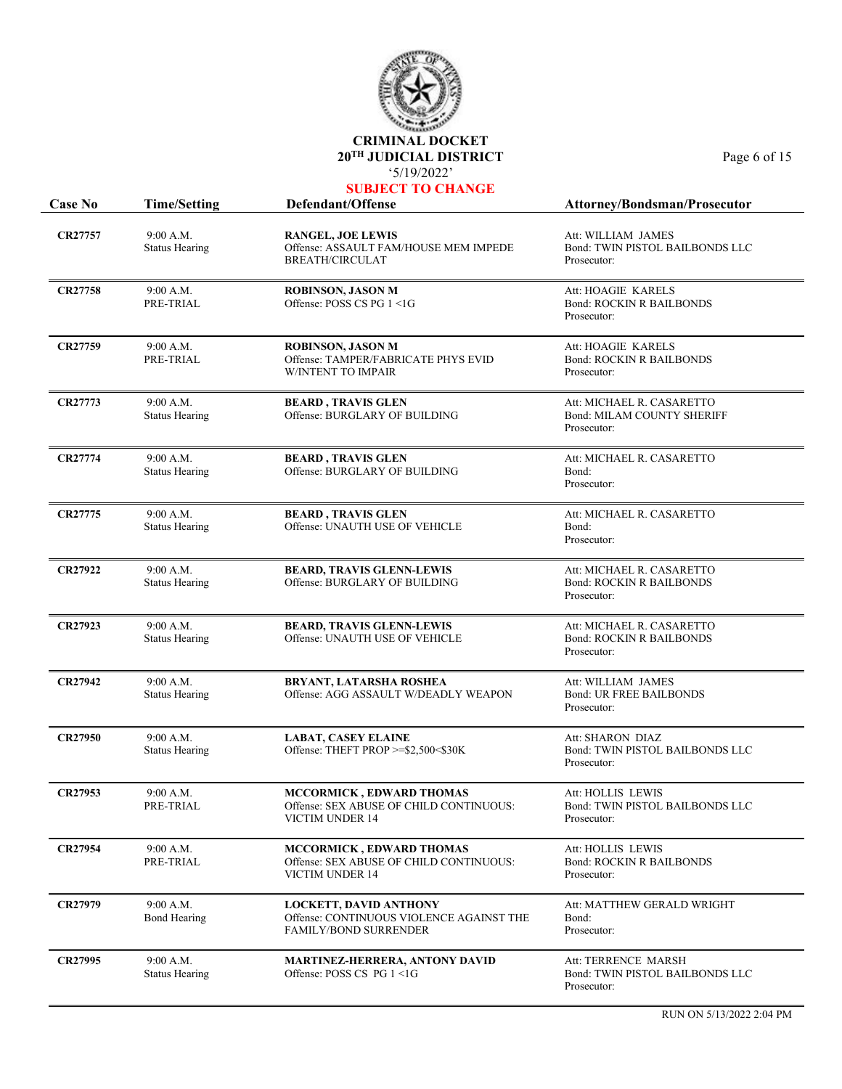

|                |                                    | <b>SUBJECT TO CHANGE</b>                                                                                  |                                                                               |
|----------------|------------------------------------|-----------------------------------------------------------------------------------------------------------|-------------------------------------------------------------------------------|
| <b>Case No</b> | <b>Time/Setting</b>                | Defendant/Offense                                                                                         | Attorney/Bondsman/Prosecutor                                                  |
| <b>CR27757</b> | 9:00 A.M.<br><b>Status Hearing</b> | <b>RANGEL, JOE LEWIS</b><br>Offense: ASSAULT FAM/HOUSE MEM IMPEDE<br><b>BREATH/CIRCULAT</b>               | Att: WILLIAM JAMES<br>Bond: TWIN PISTOL BAILBONDS LLC<br>Prosecutor:          |
| CR27758        | 9:00 A.M.<br>PRE-TRIAL             | <b>ROBINSON, JASON M</b><br>Offense: POSS CS PG 1 <1G                                                     | Att: HOAGIE KARELS<br><b>Bond: ROCKIN R BAILBONDS</b><br>Prosecutor:          |
| CR27759        | 9:00 A.M.<br>PRE-TRIAL             | <b>ROBINSON, JASON M</b><br>Offense: TAMPER/FABRICATE PHYS EVID<br><b>W/INTENT TO IMPAIR</b>              | Att: HOAGIE KARELS<br><b>Bond: ROCKIN R BAILBONDS</b><br>Prosecutor:          |
| CR27773        | 9:00 A.M.<br><b>Status Hearing</b> | <b>BEARD, TRAVIS GLEN</b><br>Offense: BURGLARY OF BUILDING                                                | Att: MICHAEL R. CASARETTO<br><b>Bond: MILAM COUNTY SHERIFF</b><br>Prosecutor: |
| <b>CR27774</b> | 9:00 A.M.<br><b>Status Hearing</b> | <b>BEARD, TRAVIS GLEN</b><br>Offense: BURGLARY OF BUILDING                                                | Att: MICHAEL R. CASARETTO<br>Bond:<br>Prosecutor:                             |
| CR27775        | 9:00 A.M.<br><b>Status Hearing</b> | <b>BEARD, TRAVIS GLEN</b><br>Offense: UNAUTH USE OF VEHICLE                                               | Att: MICHAEL R. CASARETTO<br>Bond:<br>Prosecutor:                             |
| <b>CR27922</b> | 9:00 A.M.<br><b>Status Hearing</b> | <b>BEARD, TRAVIS GLENN-LEWIS</b><br>Offense: BURGLARY OF BUILDING                                         | Att: MICHAEL R. CASARETTO<br><b>Bond: ROCKIN R BAILBONDS</b><br>Prosecutor:   |
| CR27923        | 9:00 A.M.<br><b>Status Hearing</b> | <b>BEARD, TRAVIS GLENN-LEWIS</b><br>Offense: UNAUTH USE OF VEHICLE                                        | Att: MICHAEL R. CASARETTO<br><b>Bond: ROCKIN R BAILBONDS</b><br>Prosecutor:   |
| <b>CR27942</b> | 9:00 A.M.<br><b>Status Hearing</b> | BRYANT, LATARSHA ROSHEA<br>Offense: AGG ASSAULT W/DEADLY WEAPON                                           | Att: WILLIAM JAMES<br><b>Bond: UR FREE BAILBONDS</b><br>Prosecutor:           |
| <b>CR27950</b> | 9:00 A.M.<br><b>Status Hearing</b> | <b>LABAT, CASEY ELAINE</b><br>Offense: THEFT PROP >=\$2,500<\$30K                                         | Att: SHARON DIAZ<br>Bond: TWIN PISTOL BAILBONDS LLC<br>Prosecutor:            |
| CR27953        | 9:00 A.M.<br>PRE-TRIAL             | <b>MCCORMICK, EDWARD THOMAS</b><br>Offense: SEX ABUSE OF CHILD CONTINUOUS:<br>VICTIM UNDER 14             | Att: HOLLIS LEWIS<br>Bond: TWIN PISTOL BAILBONDS LLC<br>Prosecutor:           |
| <b>CR27954</b> | 9:00 A.M.<br>PRE-TRIAL             | <b>MCCORMICK, EDWARD THOMAS</b><br>Offense: SEX ABUSE OF CHILD CONTINUOUS:<br>VICTIM UNDER 14             | Att: HOLLIS LEWIS<br><b>Bond: ROCKIN R BAILBONDS</b><br>Prosecutor:           |
| CR27979        | 9:00 A.M.<br><b>Bond Hearing</b>   | <b>LOCKETT, DAVID ANTHONY</b><br>Offense: CONTINUOUS VIOLENCE AGAINST THE<br><b>FAMILY/BOND SURRENDER</b> | Att: MATTHEW GERALD WRIGHT<br>Bond:<br>Prosecutor:                            |
| CR27995        | 9:00 A.M.<br><b>Status Hearing</b> | <b>MARTINEZ-HERRERA, ANTONY DAVID</b><br>Offense: POSS CS PG 1 <1G                                        | Att: TERRENCE MARSH<br>Bond: TWIN PISTOL BAILBONDS LLC<br>Prosecutor:         |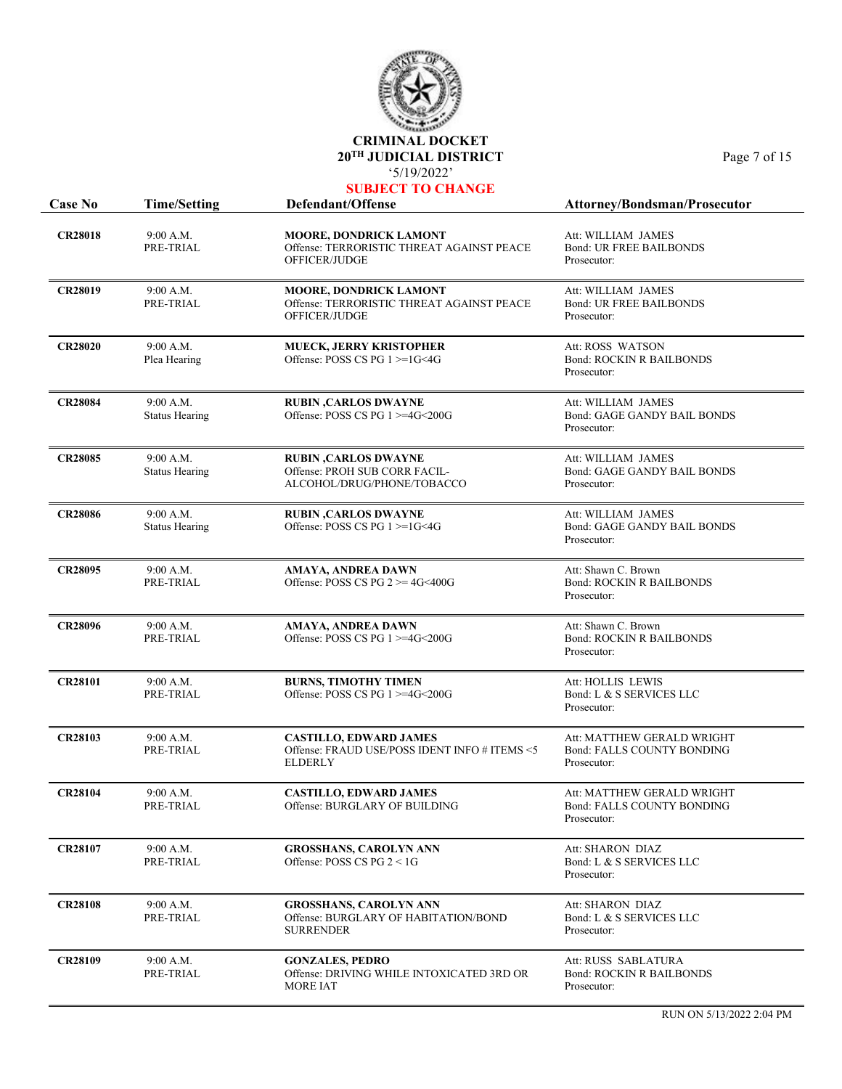

| UBJECT TO CHANGI |  |  |  |  |  |
|------------------|--|--|--|--|--|
|                  |  |  |  |  |  |

| <b>Case No</b> | <b>Time/Setting</b>                | Defendant/Offense                                                                                | Attorney/Bondsman/Prosecutor                                                   |
|----------------|------------------------------------|--------------------------------------------------------------------------------------------------|--------------------------------------------------------------------------------|
| <b>CR28018</b> | 9:00 A.M.<br>PRE-TRIAL             | MOORE, DONDRICK LAMONT<br>Offense: TERRORISTIC THREAT AGAINST PEACE<br>OFFICER/JUDGE             | Att: WILLIAM JAMES<br><b>Bond: UR FREE BAILBONDS</b><br>Prosecutor:            |
| <b>CR28019</b> | 9:00 A.M.<br>PRE-TRIAL             | MOORE, DONDRICK LAMONT<br>Offense: TERRORISTIC THREAT AGAINST PEACE<br>OFFICER/JUDGE             | Att: WILLIAM JAMES<br><b>Bond: UR FREE BAILBONDS</b><br>Prosecutor:            |
| <b>CR28020</b> | 9:00 A.M.<br>Plea Hearing          | <b>MUECK, JERRY KRISTOPHER</b><br>Offense: POSS CS PG $1 \geq 1$ G<4G                            | Att: ROSS WATSON<br><b>Bond: ROCKIN R BAILBONDS</b><br>Prosecutor:             |
| <b>CR28084</b> | 9:00 A.M.<br><b>Status Hearing</b> | <b>RUBIN, CARLOS DWAYNE</b><br>Offense: POSS CS PG 1 >=4G<200G                                   | Att: WILLIAM JAMES<br>Bond: GAGE GANDY BAIL BONDS<br>Prosecutor:               |
| <b>CR28085</b> | 9:00 A.M.<br><b>Status Hearing</b> | <b>RUBIN, CARLOS DWAYNE</b><br>Offense: PROH SUB CORR FACIL-<br>ALCOHOL/DRUG/PHONE/TOBACCO       | Att: WILLIAM JAMES<br><b>Bond: GAGE GANDY BAIL BONDS</b><br>Prosecutor:        |
| <b>CR28086</b> | 9:00 A.M.<br><b>Status Hearing</b> | <b>RUBIN, CARLOS DWAYNE</b><br>Offense: POSS CS PG 1 >=1G<4G                                     | Att: WILLIAM JAMES<br>Bond: GAGE GANDY BAIL BONDS<br>Prosecutor:               |
| <b>CR28095</b> | 9:00 A.M.<br>PRE-TRIAL             | AMAYA, ANDREA DAWN<br>Offense: POSS CS PG $2 \ge 4$ G<400G                                       | Att: Shawn C. Brown<br><b>Bond: ROCKIN R BAILBONDS</b><br>Prosecutor:          |
| <b>CR28096</b> | 9:00 A.M.<br>PRE-TRIAL             | <b>AMAYA, ANDREA DAWN</b><br>Offense: POSS CS PG 1 >=4G<200G                                     | Att: Shawn C. Brown<br><b>Bond: ROCKIN R BAILBONDS</b><br>Prosecutor:          |
| <b>CR28101</b> | 9:00 A.M.<br>PRE-TRIAL             | <b>BURNS, TIMOTHY TIMEN</b><br>Offense: POSS CS PG $1$ >=4G<200G                                 | Att: HOLLIS LEWIS<br>Bond: L & S SERVICES LLC<br>Prosecutor:                   |
| <b>CR28103</b> | 9:00 A.M.<br>PRE-TRIAL             | <b>CASTILLO, EDWARD JAMES</b><br>Offense: FRAUD USE/POSS IDENT INFO # ITEMS <5<br><b>ELDERLY</b> | Att: MATTHEW GERALD WRIGHT<br>Bond: FALLS COUNTY BONDING<br>Prosecutor:        |
| <b>CR28104</b> | 9:00 A.M.<br>PRE-TRIAL             | <b>CASTILLO, EDWARD JAMES</b><br>Offense: BURGLARY OF BUILDING                                   | Att: MATTHEW GERALD WRIGHT<br><b>Bond: FALLS COUNTY BONDING</b><br>Prosecutor: |
| <b>CR28107</b> | 9:00 A.M.<br>PRE-TRIAL             | <b>GROSSHANS, CAROLYN ANN</b><br>Offense: POSS CS PG $2 < 1$ G                                   | Att: SHARON DIAZ<br>Bond: L & S SERVICES LLC<br>Prosecutor:                    |
| <b>CR28108</b> | 9:00 A.M.<br>PRE-TRIAL             | <b>GROSSHANS, CAROLYN ANN</b><br>Offense: BURGLARY OF HABITATION/BOND<br><b>SURRENDER</b>        | Att: SHARON DIAZ<br>Bond: L & S SERVICES LLC<br>Prosecutor:                    |
| <b>CR28109</b> | 9:00 A.M.<br>PRE-TRIAL             | <b>GONZALES, PEDRO</b><br>Offense: DRIVING WHILE INTOXICATED 3RD OR<br><b>MORE IAT</b>           | Att: RUSS SABLATURA<br><b>Bond: ROCKIN R BAILBONDS</b><br>Prosecutor:          |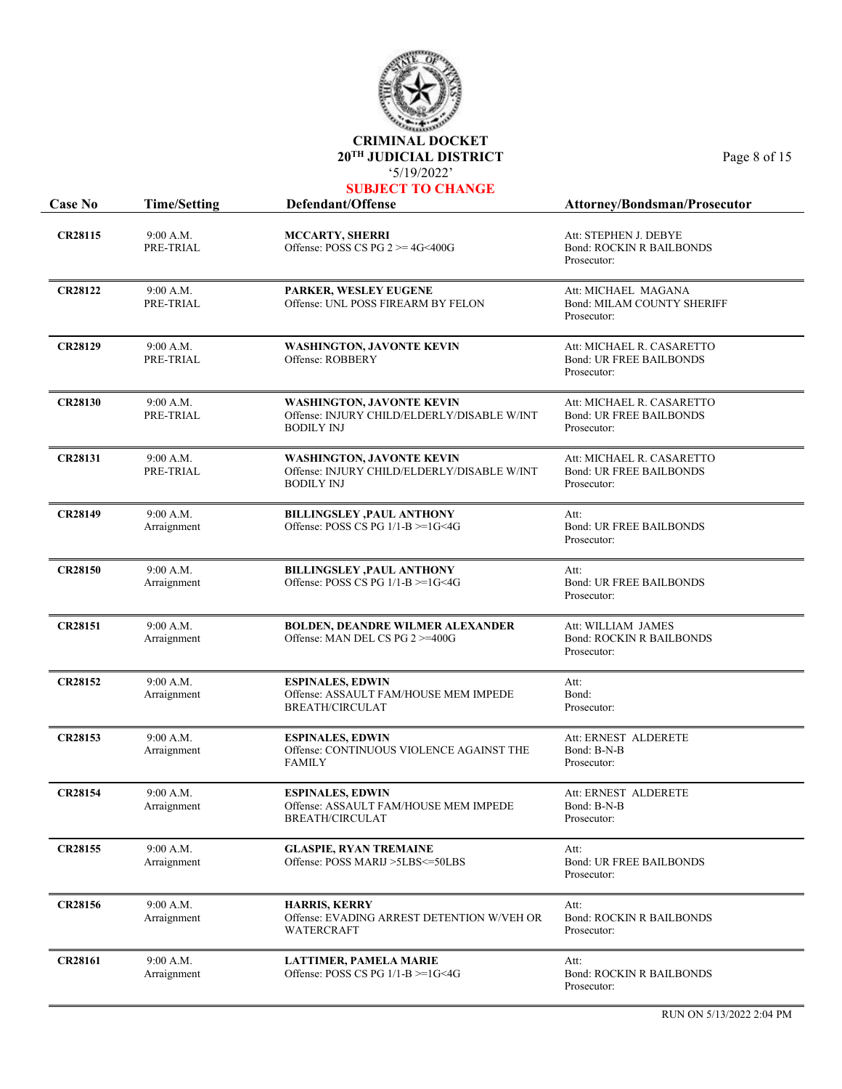

| <b>SUBJECT TO CHANGE</b> |                        |                                                                                                      |                                                                            |  |
|--------------------------|------------------------|------------------------------------------------------------------------------------------------------|----------------------------------------------------------------------------|--|
| <b>Case No</b>           | <b>Time/Setting</b>    | Defendant/Offense                                                                                    | <b>Attorney/Bondsman/Prosecutor</b>                                        |  |
| <b>CR28115</b>           | 9:00 A.M.<br>PRE-TRIAL | <b>MCCARTY, SHERRI</b><br>Offense: POSS CS PG $2 \ge 4$ G<400G                                       | Att: STEPHEN J. DEBYE<br><b>Bond: ROCKIN R BAILBONDS</b><br>Prosecutor:    |  |
| <b>CR28122</b>           | 9:00 A.M.<br>PRE-TRIAL | PARKER, WESLEY EUGENE<br>Offense: UNL POSS FIREARM BY FELON                                          | Att: MICHAEL MAGANA<br><b>Bond: MILAM COUNTY SHERIFF</b><br>Prosecutor:    |  |
| <b>CR28129</b>           | 9:00 A.M.<br>PRE-TRIAL | <b>WASHINGTON, JAVONTE KEVIN</b><br>Offense: ROBBERY                                                 | Att: MICHAEL R. CASARETTO<br><b>Bond: UR FREE BAILBONDS</b><br>Prosecutor: |  |
| <b>CR28130</b>           | 9:00 A.M.<br>PRE-TRIAL | <b>WASHINGTON, JAVONTE KEVIN</b><br>Offense: INJURY CHILD/ELDERLY/DISABLE W/INT<br><b>BODILY INJ</b> | Att: MICHAEL R. CASARETTO<br><b>Bond: UR FREE BAILBONDS</b><br>Prosecutor: |  |
| <b>CR28131</b>           | 9:00 A.M.<br>PRE-TRIAL | <b>WASHINGTON, JAVONTE KEVIN</b><br>Offense: INJURY CHILD/ELDERLY/DISABLE W/INT                      | Att: MICHAEL R. CASARETTO<br><b>Bond: UR FREE BAILBONDS</b>                |  |

|                | PRE-TRIAL                | Offense: INJURY CHILD/ELDERLY/DISABLE W/INT<br><b>BODILY INJ</b>             | <b>Bond: UR FREE BAILBONDS</b><br>Prosecutor:         |
|----------------|--------------------------|------------------------------------------------------------------------------|-------------------------------------------------------|
| <b>CR28149</b> | 9:00 A.M.<br>Arraignment | <b>BILLINGSLEY , PAUL ANTHONY</b><br>Offense: POSS CS PG $1/1-B \geq 1$ G<4G | Att:<br><b>Bond: UR FREE BAILBONDS</b><br>Prosecutor: |
| <b>CR28150</b> | 9:00 A.M.                | <b>BILLINGSLEY , PAUL ANTHONY</b>                                            | Att:                                                  |

Arraignment

|                |                                                   |                                                                                         | Prosecutor:                                                          |
|----------------|---------------------------------------------------|-----------------------------------------------------------------------------------------|----------------------------------------------------------------------|
| <b>CR28151</b> | 9:00 A.M.<br>Arraignment                          | <b>BOLDEN, DEANDRE WILMER ALEXANDER</b><br>Offense: MAN DEL CS PG $2 \ge 400$ G         | Att: WILLIAM JAMES<br><b>Bond: ROCKIN R BAILBONDS</b><br>Prosecutor: |
| <b>CR28152</b> | 9:00 A.M.<br>$\lambda$ , and the set of $\lambda$ | <b>ESPINALES, EDWIN</b><br>$OR$ $A Q Q A I H T T L A M J J Q I J Q T R L A T R D T R T$ | Att:<br>$\mathbf{D}$ 1                                               |

Offense: POSS CS PG 1/1-B >=1G<4G

| <b>CR28152</b> | 9:00 A.M.<br>Arraignment | <b>ESPINALES, EDWIN</b><br>Offense: ASSAULT FAM/HOUSE MEM IMPEDE<br><b>BREATH/CIRCULAT</b> | Att:<br>Bond:<br>Prosecutor:                           |
|----------------|--------------------------|--------------------------------------------------------------------------------------------|--------------------------------------------------------|
| <b>CR28153</b> | 9:00 A.M.<br>Arraignment | <b>ESPINALES, EDWIN</b><br>Offense: CONTINUOUS VIOLENCE AGAINST THE<br><b>FAMILY</b>       | Att: ERNEST ALDERETE<br>Bond: B-N-B<br>Prosecutor:     |
| <b>CR28154</b> | 9:00 A.M.<br>Arraignment | <b>ESPINALES, EDWIN</b><br>Offense: ASSAULT FAM/HOUSE MEM IMPEDE<br><b>BREATH/CIRCULAT</b> | Att: ERNEST ALDERETE<br>Bond: B-N-B<br>Prosecutor:     |
| CR28155        | 9:00 A.M.<br>Arraignment | <b>GLASPIE, RYAN TREMAINE</b><br>Offense: POSS MARIJ >5LBS<=50LBS                          | Att:<br><b>Bond: UR FREE BAILBONDS</b><br>Prosecutor:  |
|                |                          |                                                                                            |                                                        |
| <b>CR28156</b> | 9:00 A.M.<br>Arraignment | <b>HARRIS, KERRY</b><br>Offense: EVADING ARREST DETENTION W/VEH OR<br><b>WATERCRAFT</b>    | Att:<br><b>Bond: ROCKIN R BAILBONDS</b><br>Prosecutor: |

Bond: UR FREE BAILBONDS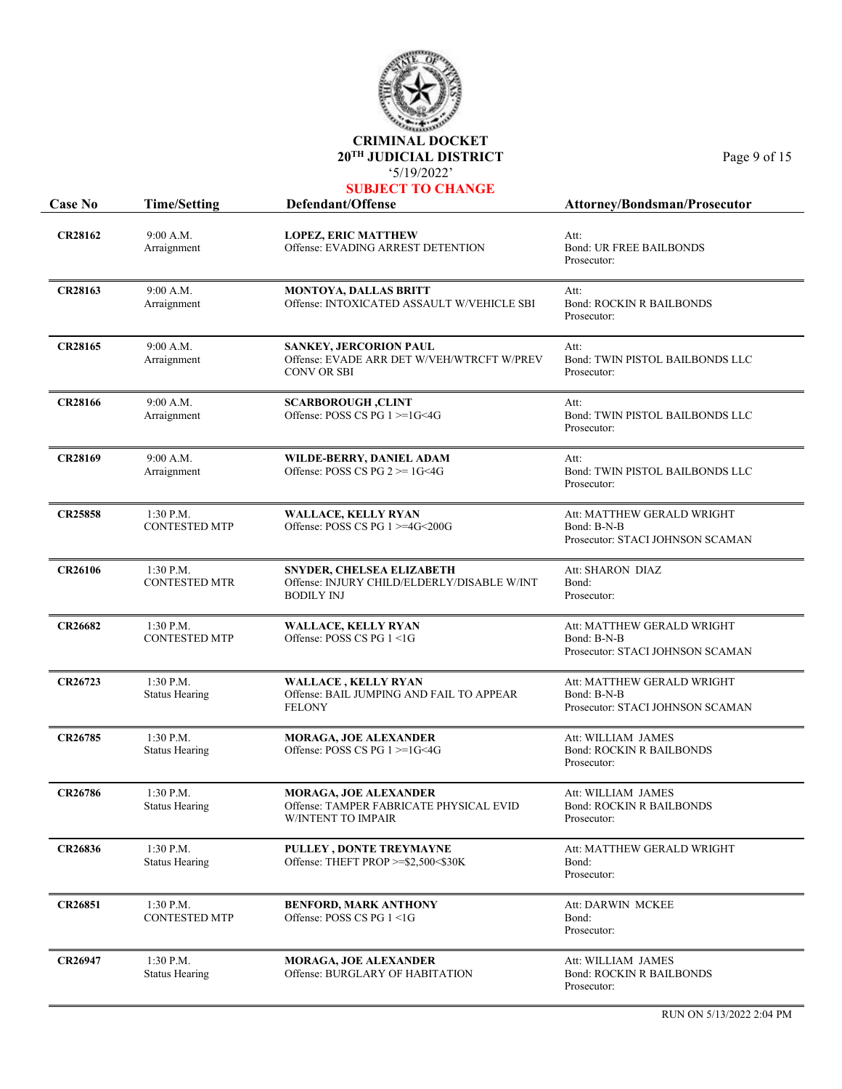

| <b>Case No</b> | <b>Time/Setting</b>                  | NUDURUT TU UM<br>Defendant/Offense                                                                   | Attorney/Bondsman/Prosecutor                                                  |
|----------------|--------------------------------------|------------------------------------------------------------------------------------------------------|-------------------------------------------------------------------------------|
| <b>CR28162</b> | 9:00 A.M.<br>Arraignment             | <b>LOPEZ, ERIC MATTHEW</b><br>Offense: EVADING ARREST DETENTION                                      | Att:<br><b>Bond: UR FREE BAILBONDS</b><br>Prosecutor:                         |
| <b>CR28163</b> | 9:00 A.M.<br>Arraignment             | <b>MONTOYA, DALLAS BRITT</b><br>Offense: INTOXICATED ASSAULT W/VEHICLE SBI                           | Att:<br><b>Bond: ROCKIN R BAILBONDS</b><br>Prosecutor:                        |
| CR28165        | 9:00 A.M.<br>Arraignment             | <b>SANKEY, JERCORION PAUL</b><br>Offense: EVADE ARR DET W/VEH/WTRCFT W/PREV<br>CONV OR SBI           | Att:<br>Bond: TWIN PISTOL BAILBONDS LLC<br>Prosecutor:                        |
| <b>CR28166</b> | 9:00 A.M.<br>Arraignment             | <b>SCARBOROUGH, CLINT</b><br>Offense: POSS CS PG 1 >=1G<4G                                           | Att:<br>Bond: TWIN PISTOL BAILBONDS LLC<br>Prosecutor:                        |
| <b>CR28169</b> | 9:00 A.M.<br>Arraignment             | WILDE-BERRY, DANIEL ADAM<br>Offense: POSS CS PG $2 \ge 1$ G<4G                                       | Att:<br>Bond: TWIN PISTOL BAILBONDS LLC<br>Prosecutor:                        |
| <b>CR25858</b> | $1:30$ P.M.<br><b>CONTESTED MTP</b>  | <b>WALLACE, KELLY RYAN</b><br>Offense: POSS CS PG 1 >=4G<200G                                        | Att: MATTHEW GERALD WRIGHT<br>Bond: B-N-B<br>Prosecutor: STACI JOHNSON SCAMAN |
| <b>CR26106</b> | $1:30$ P.M.<br><b>CONTESTED MTR</b>  | SNYDER, CHELSEA ELIZABETH<br>Offense: INJURY CHILD/ELDERLY/DISABLE W/INT<br><b>BODILY INJ</b>        | Att: SHARON DIAZ<br>Bond:<br>Prosecutor:                                      |
| <b>CR26682</b> | 1:30 P.M.<br><b>CONTESTED MTP</b>    | <b>WALLACE, KELLY RYAN</b><br>Offense: POSS CS PG 1 <1G                                              | Att: MATTHEW GERALD WRIGHT<br>Bond: B-N-B<br>Prosecutor: STACI JOHNSON SCAMAN |
| <b>CR26723</b> | 1:30 P.M.<br><b>Status Hearing</b>   | <b>WALLACE, KELLY RYAN</b><br>Offense: BAIL JUMPING AND FAIL TO APPEAR<br><b>FELONY</b>              | Att: MATTHEW GERALD WRIGHT<br>Bond: B-N-B<br>Prosecutor: STACI JOHNSON SCAMAN |
| CR26785        | 1:30 P.M.<br><b>Status Hearing</b>   | <b>MORAGA, JOE ALEXANDER</b><br>Offense: POSS CS PG 1 >=1G<4G                                        | Att: WILLIAM JAMES<br><b>Bond: ROCKIN R BAILBONDS</b><br>Prosecutor:          |
| <b>CR26786</b> | 1:30 P.M.<br><b>Status Hearing</b>   | <b>MORAGA, JOE ALEXANDER</b><br>Offense: TAMPER FABRICATE PHYSICAL EVID<br><b>W/INTENT TO IMPAIR</b> | Att: WILLIAM JAMES<br><b>Bond: ROCKIN R BAILBONDS</b><br>Prosecutor:          |
| <b>CR26836</b> | $1:30$ P.M.<br><b>Status Hearing</b> | PULLEY, DONTE TREYMAYNE<br>Offense: THEFT PROP >=\$2,500<\$30K                                       | Att: MATTHEW GERALD WRIGHT<br>Bond:<br>Prosecutor:                            |
| <b>CR26851</b> | 1:30 P.M.<br><b>CONTESTED MTP</b>    | <b>BENFORD, MARK ANTHONY</b><br>Offense: POSS CS PG 1 <1G                                            | Att: DARWIN MCKEE<br>Bond:<br>Prosecutor:                                     |
| <b>CR26947</b> | 1:30 P.M.<br><b>Status Hearing</b>   | <b>MORAGA, JOE ALEXANDER</b><br>Offense: BURGLARY OF HABITATION                                      | Att: WILLIAM JAMES<br><b>Bond: ROCKIN R BAILBONDS</b><br>Prosecutor:          |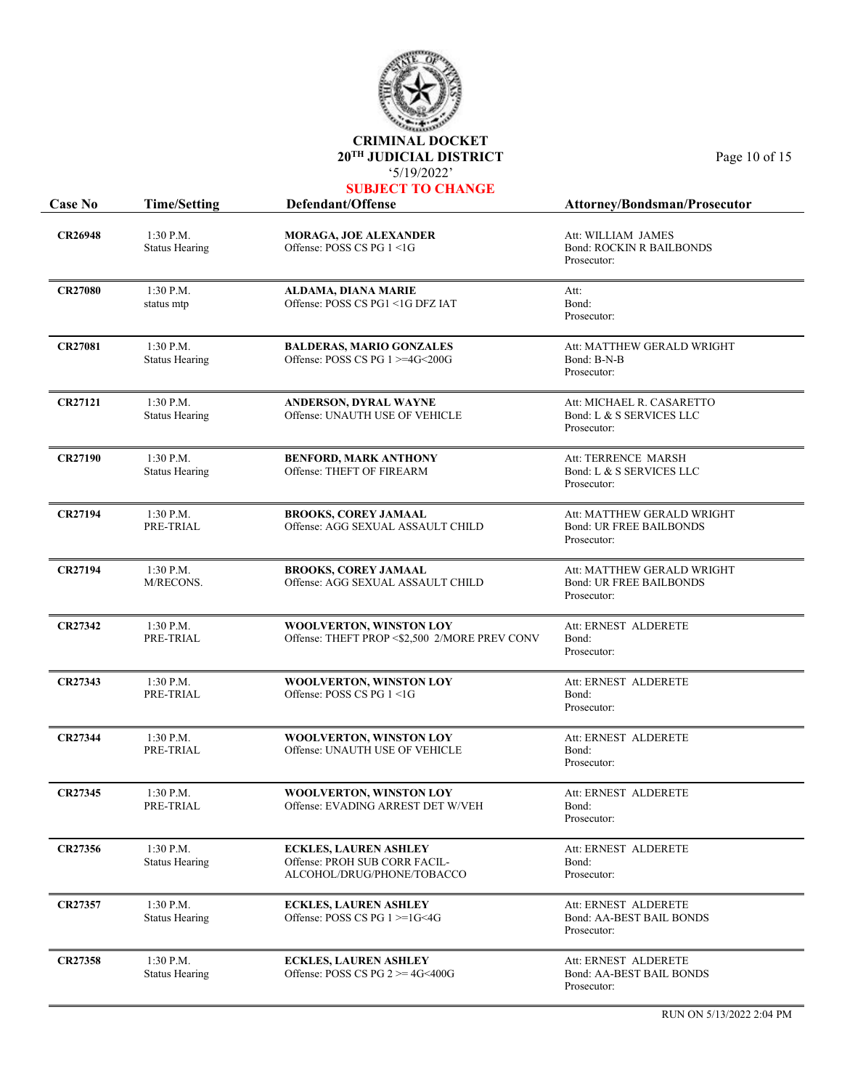

| <b>Case No</b> | <b>Time/Setting</b>                  | Defendant/Offense                                                                           | <b>Attorney/Bondsman/Prosecutor</b>                                         |
|----------------|--------------------------------------|---------------------------------------------------------------------------------------------|-----------------------------------------------------------------------------|
| <b>CR26948</b> | $1:30$ P.M.<br><b>Status Hearing</b> | <b>MORAGA, JOE ALEXANDER</b><br>Offense: POSS CS PG 1 <1G                                   | Att: WILLIAM JAMES<br><b>Bond: ROCKIN R BAILBONDS</b><br>Prosecutor:        |
| <b>CR27080</b> | 1:30 P.M.<br>status mtp              | ALDAMA, DIANA MARIE<br>Offense: POSS CS PG1 <1G DFZ IAT                                     | Att:<br>Bond:<br>Prosecutor:                                                |
| <b>CR27081</b> | 1:30 P.M.<br><b>Status Hearing</b>   | <b>BALDERAS, MARIO GONZALES</b><br>Offense: POSS CS PG $1$ >=4G<200G                        | Att: MATTHEW GERALD WRIGHT<br>Bond: B-N-B<br>Prosecutor:                    |
| <b>CR27121</b> | 1:30 P.M.<br><b>Status Hearing</b>   | ANDERSON, DYRAL WAYNE<br>Offense: UNAUTH USE OF VEHICLE                                     | Att: MICHAEL R. CASARETTO<br>Bond: L & S SERVICES LLC<br>Prosecutor:        |
| <b>CR27190</b> | 1:30 P.M.<br><b>Status Hearing</b>   | <b>BENFORD, MARK ANTHONY</b><br>Offense: THEFT OF FIREARM                                   | Att: TERRENCE MARSH<br>Bond: L & S SERVICES LLC<br>Prosecutor:              |
| <b>CR27194</b> | $1:30$ P.M.<br>PRE-TRIAL             | <b>BROOKS, COREY JAMAAL</b><br>Offense: AGG SEXUAL ASSAULT CHILD                            | Att: MATTHEW GERALD WRIGHT<br><b>Bond: UR FREE BAILBONDS</b><br>Prosecutor: |
| <b>CR27194</b> | 1:30 P.M.<br>M/RECONS.               | <b>BROOKS, COREY JAMAAL</b><br>Offense: AGG SEXUAL ASSAULT CHILD                            | Att: MATTHEW GERALD WRIGHT<br><b>Bond: UR FREE BAILBONDS</b><br>Prosecutor: |
| <b>CR27342</b> | 1:30 P.M.<br>PRE-TRIAL               | WOOLVERTON, WINSTON LOY<br>Offense: THEFT PROP <\$2,500 2/MORE PREV CONV                    | Att: ERNEST ALDERETE<br>Bond:<br>Prosecutor:                                |
| CR27343        | 1:30 P.M.<br>PRE-TRIAL               | <b>WOOLVERTON, WINSTON LOY</b><br>Offense: POSS CS PG 1 <1G                                 | Att: ERNEST ALDERETE<br>Bond:<br>Prosecutor:                                |
| <b>CR27344</b> | 1:30 P.M.<br>PRE-TRIAL               | WOOLVERTON, WINSTON LOY<br>Offense: UNAUTH USE OF VEHICLE                                   | Att: ERNEST ALDERETE<br>Bond:<br>Prosecutor:                                |
| CR27345        | 1:30 P.M.<br>PRE-TRIAL               | WOOLVERTON, WINSTON LOY<br>Offense: EVADING ARREST DET W/VEH                                | Att: ERNEST ALDERETE<br>Bond:<br>Prosecutor:                                |
| CR27356        | 1:30 P.M.<br><b>Status Hearing</b>   | <b>ECKLES, LAUREN ASHLEY</b><br>Offense: PROH SUB CORR FACIL-<br>ALCOHOL/DRUG/PHONE/TOBACCO | Att: ERNEST ALDERETE<br>Bond:<br>Prosecutor:                                |
| CR27357        | $1:30$ P.M.<br><b>Status Hearing</b> | <b>ECKLES, LAUREN ASHLEY</b><br>Offense: POSS CS PG $1 \geq 1$ G<4G                         | Att: ERNEST ALDERETE<br>Bond: AA-BEST BAIL BONDS<br>Prosecutor:             |
| <b>CR27358</b> | 1:30 P.M.<br><b>Status Hearing</b>   | <b>ECKLES, LAUREN ASHLEY</b><br>Offense: POSS CS PG $2 \ge 4$ G<400G                        | Att: ERNEST ALDERETE<br>Bond: AA-BEST BAIL BONDS<br>Prosecutor:             |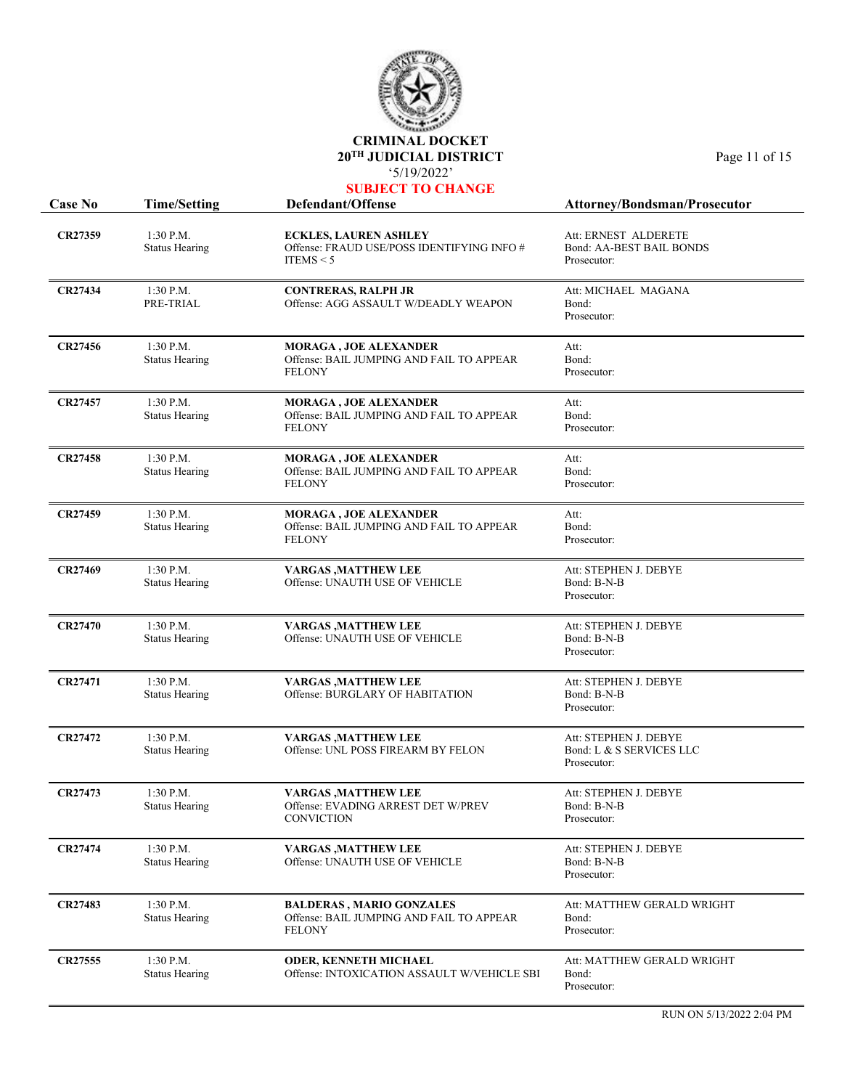

| Case No        | <b>Time/Setting</b>                  | Defendant/Offense                                                                            | Attorney/Bondsman/Prosecutor                                     |
|----------------|--------------------------------------|----------------------------------------------------------------------------------------------|------------------------------------------------------------------|
| CR27359        | $1:30$ P.M.<br><b>Status Hearing</b> | <b>ECKLES, LAUREN ASHLEY</b><br>Offense: FRAUD USE/POSS IDENTIFYING INFO #<br>ITEMS $<$ 5    | Att: ERNEST ALDERETE<br>Bond: AA-BEST BAIL BONDS<br>Prosecutor:  |
| <b>CR27434</b> | 1:30 P.M.<br>PRE-TRIAL               | <b>CONTRERAS, RALPH JR</b><br>Offense: AGG ASSAULT W/DEADLY WEAPON                           | Att: MICHAEL MAGANA<br>Bond:<br>Prosecutor:                      |
| CR27456        | $1:30$ P.M.<br><b>Status Hearing</b> | <b>MORAGA, JOE ALEXANDER</b><br>Offense: BAIL JUMPING AND FAIL TO APPEAR<br><b>FELONY</b>    | Att:<br>Bond:<br>Prosecutor:                                     |
| CR27457        | 1:30 P.M.<br><b>Status Hearing</b>   | <b>MORAGA , JOE ALEXANDER</b><br>Offense: BAIL JUMPING AND FAIL TO APPEAR<br><b>FELONY</b>   | Att:<br>Bond:<br>Prosecutor:                                     |
| CR27458        | 1:30 P.M.<br><b>Status Hearing</b>   | MORAGA, JOE ALEXANDER<br>Offense: BAIL JUMPING AND FAIL TO APPEAR<br><b>FELONY</b>           | Att:<br>Bond:<br>Prosecutor:                                     |
| CR27459        | 1:30 P.M.<br><b>Status Hearing</b>   | <b>MORAGA, JOE ALEXANDER</b><br>Offense: BAIL JUMPING AND FAIL TO APPEAR<br><b>FELONY</b>    | Att:<br>Bond:<br>Prosecutor:                                     |
| CR27469        | $1:30$ P.M.<br><b>Status Hearing</b> | <b>VARGAS, MATTHEW LEE</b><br>Offense: UNAUTH USE OF VEHICLE                                 | Att: STEPHEN J. DEBYE<br>Bond: B-N-B<br>Prosecutor:              |
| <b>CR27470</b> | 1:30 P.M.<br><b>Status Hearing</b>   | <b>VARGAS, MATTHEW LEE</b><br>Offense: UNAUTH USE OF VEHICLE                                 | Att: STEPHEN J. DEBYE<br>Bond: B-N-B<br>Prosecutor:              |
| <b>CR27471</b> | 1:30 P.M.<br><b>Status Hearing</b>   | VARGAS ,MATTHEW LEE<br>Offense: BURGLARY OF HABITATION                                       | Att: STEPHEN J. DEBYE<br>Bond: B-N-B<br>Prosecutor:              |
| CR27472        | 1:30 P.M.<br><b>Status Hearing</b>   | <b>VARGAS , MATTHEW LEE</b><br>Offense: UNL POSS FIREARM BY FELON                            | Att: STEPHEN J. DEBYE<br>Bond: L & S SERVICES LLC<br>Prosecutor: |
| CR27473        | 1:30 P.M.<br><b>Status Hearing</b>   | VARGAS ,MATTHEW LEE<br>Offense: EVADING ARREST DET W/PREV<br><b>CONVICTION</b>               | Att: STEPHEN J. DEBYE<br>Bond: B-N-B<br>Prosecutor:              |
| <b>CR27474</b> | $1:30$ P.M.<br><b>Status Hearing</b> | <b>VARGAS, MATTHEW LEE</b><br>Offense: UNAUTH USE OF VEHICLE                                 | Att: STEPHEN J. DEBYE<br>Bond: B-N-B<br>Prosecutor:              |
| CR27483        | 1:30 P.M.<br><b>Status Hearing</b>   | <b>BALDERAS, MARIO GONZALES</b><br>Offense: BAIL JUMPING AND FAIL TO APPEAR<br><b>FELONY</b> | Att: MATTHEW GERALD WRIGHT<br>Bond:<br>Prosecutor:               |
| CR27555        | 1:30 P.M.<br><b>Status Hearing</b>   | <b>ODER, KENNETH MICHAEL</b><br>Offense: INTOXICATION ASSAULT W/VEHICLE SBI                  | Att: MATTHEW GERALD WRIGHT<br>Bond:<br>Prosecutor:               |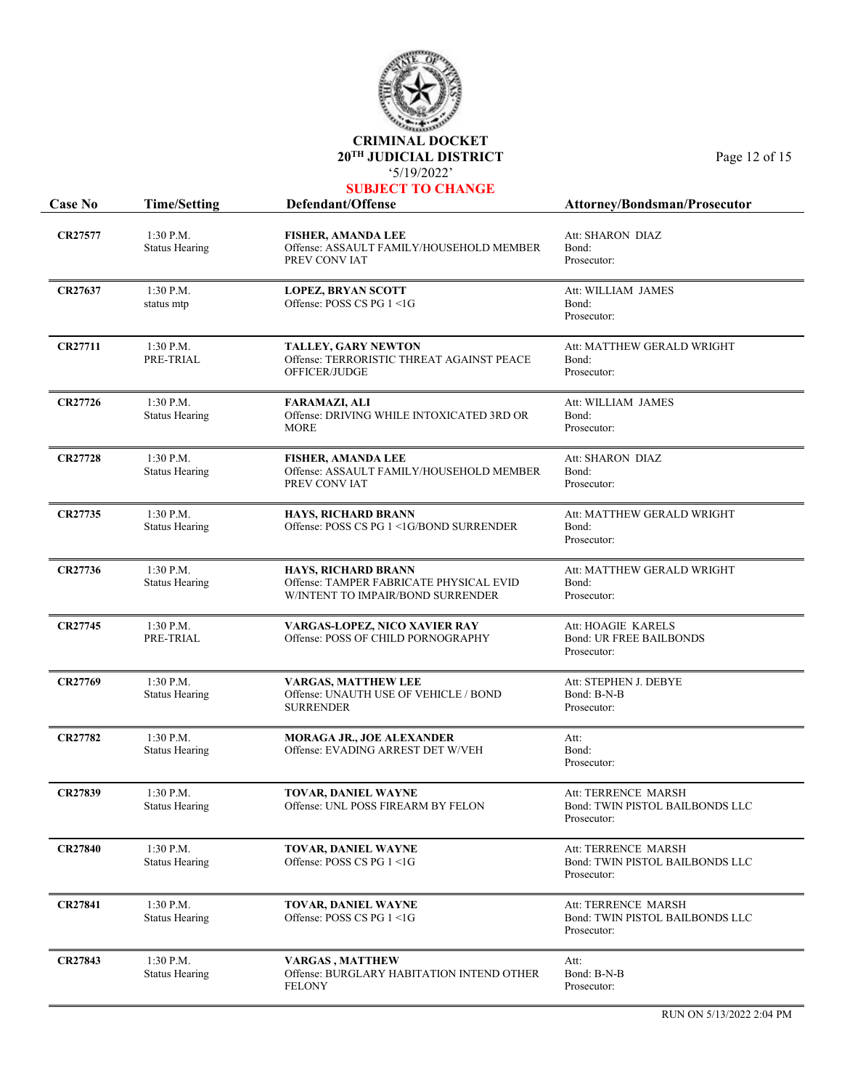

|  |  | UBJECT TO CHANGE |  |
|--|--|------------------|--|
|  |  |                  |  |

| <b>Case No</b> | <b>Time/Setting</b>                  | Defendant/Offense                                                                                          | Attorney/Bondsman/Prosecutor                                          |
|----------------|--------------------------------------|------------------------------------------------------------------------------------------------------------|-----------------------------------------------------------------------|
| <b>CR27577</b> | $1:30$ P.M.<br><b>Status Hearing</b> | FISHER, AMANDA LEE<br>Offense: ASSAULT FAMILY/HOUSEHOLD MEMBER<br>PREV CONVIAT                             | Att: SHARON DIAZ<br>Bond:<br>Prosecutor:                              |
| <b>CR27637</b> | $1:30$ P.M.<br>status mtp            | <b>LOPEZ, BRYAN SCOTT</b><br>Offense: POSS CS PG 1 <1G                                                     | Att: WILLIAM JAMES<br>Bond:<br>Prosecutor:                            |
| <b>CR27711</b> | $1:30$ P.M.<br>PRE-TRIAL             | <b>TALLEY, GARY NEWTON</b><br>Offense: TERRORISTIC THREAT AGAINST PEACE<br>OFFICER/JUDGE                   | Att: MATTHEW GERALD WRIGHT<br>Bond:<br>Prosecutor:                    |
| CR27726        | 1:30 P.M.<br><b>Status Hearing</b>   | <b>FARAMAZI, ALI</b><br>Offense: DRIVING WHILE INTOXICATED 3RD OR<br><b>MORE</b>                           | Att: WILLIAM JAMES<br>Bond:<br>Prosecutor:                            |
| <b>CR27728</b> | $1:30$ P.M.<br><b>Status Hearing</b> | <b>FISHER, AMANDA LEE</b><br>Offense: ASSAULT FAMILY/HOUSEHOLD MEMBER<br>PREV CONVIAT                      | Att: SHARON DIAZ<br>Bond:<br>Prosecutor:                              |
| <b>CR27735</b> | $1:30$ P.M.<br><b>Status Hearing</b> | <b>HAYS, RICHARD BRANN</b><br>Offense: POSS CS PG 1 <1G/BOND SURRENDER                                     | Att: MATTHEW GERALD WRIGHT<br>Bond:<br>Prosecutor:                    |
| CR27736        | 1:30 P.M.<br><b>Status Hearing</b>   | <b>HAYS, RICHARD BRANN</b><br>Offense: TAMPER FABRICATE PHYSICAL EVID<br>W/INTENT TO IMPAIR/BOND SURRENDER | Att: MATTHEW GERALD WRIGHT<br>Bond:<br>Prosecutor:                    |
| CR27745        | $1:30$ P.M.<br>PRE-TRIAL             | VARGAS-LOPEZ, NICO XAVIER RAY<br>Offense: POSS OF CHILD PORNOGRAPHY                                        | Att: HOAGIE KARELS<br><b>Bond: UR FREE BAILBONDS</b><br>Prosecutor:   |
| CR27769        | $1:30$ P.M.<br><b>Status Hearing</b> | <b>VARGAS, MATTHEW LEE</b><br>Offense: UNAUTH USE OF VEHICLE / BOND<br><b>SURRENDER</b>                    | Att: STEPHEN J. DEBYE<br>Bond: B-N-B<br>Prosecutor:                   |
| CR27782        | $1:30$ P.M.<br><b>Status Hearing</b> | MORAGA JR., JOE ALEXANDER<br>Offense: EVADING ARREST DET W/VEH                                             | Att:<br>Bond:<br>Prosecutor:                                          |
| <b>CR27839</b> | $1:30$ P.M.<br><b>Status Hearing</b> | TOVAR, DANIEL WAYNE<br>Offense: UNL POSS FIREARM BY FELON                                                  | Att: TERRENCE MARSH<br>Bond: TWIN PISTOL BAILBONDS LLC<br>Prosecutor: |
| <b>CR27840</b> | $1:30$ P.M.<br><b>Status Hearing</b> | TOVAR, DANIEL WAYNE<br>Offense: POSS CS PG 1 <1G                                                           | Att: TERRENCE MARSH<br>Bond: TWIN PISTOL BAILBONDS LLC<br>Prosecutor: |
| <b>CR27841</b> | 1:30 P.M.<br><b>Status Hearing</b>   | <b>TOVAR, DANIEL WAYNE</b><br>Offense: POSS CS PG 1 <1G                                                    | Att: TERRENCE MARSH<br>Bond: TWIN PISTOL BAILBONDS LLC<br>Prosecutor: |
| CR27843        | 1:30 P.M.<br><b>Status Hearing</b>   | <b>VARGAS, MATTHEW</b><br>Offense: BURGLARY HABITATION INTEND OTHER<br><b>FELONY</b>                       | Att:<br>Bond: B-N-B<br>Prosecutor:                                    |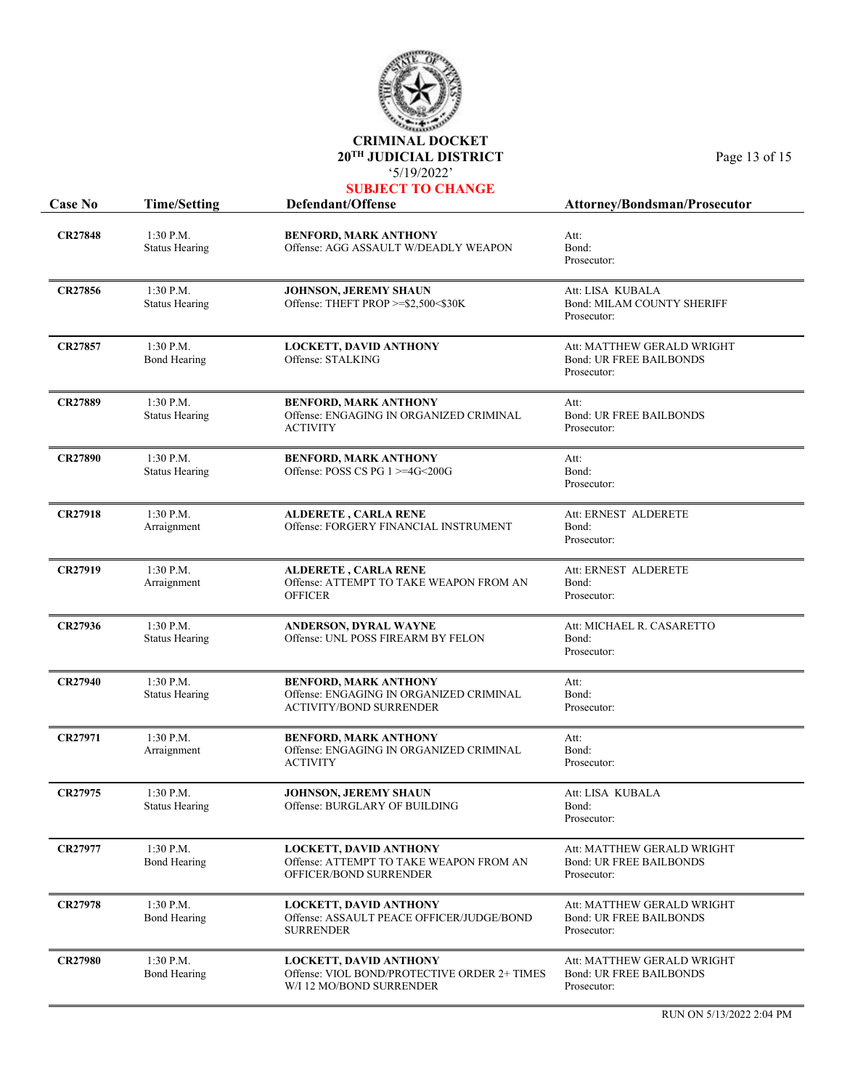

| <b>Case No</b> | <b>Time/Setting</b>                  | Defendant/Offense                                                                                         | Attorney/Bondsman/Prosecutor                                                |
|----------------|--------------------------------------|-----------------------------------------------------------------------------------------------------------|-----------------------------------------------------------------------------|
| <b>CR27848</b> | $1:30$ P.M.<br><b>Status Hearing</b> | <b>BENFORD, MARK ANTHONY</b><br>Offense: AGG ASSAULT W/DEADLY WEAPON                                      | Att:<br>Bond:<br>Prosecutor:                                                |
| CR27856        | $1:30$ P.M.<br><b>Status Hearing</b> | <b>JOHNSON, JEREMY SHAUN</b><br>Offense: THEFT PROP >=\$2,500<\$30K                                       | Att: LISA KUBALA<br><b>Bond: MILAM COUNTY SHERIFF</b><br>Prosecutor:        |
| CR27857        | $1:30$ P.M.<br><b>Bond Hearing</b>   | <b>LOCKETT, DAVID ANTHONY</b><br>Offense: STALKING                                                        | Att: MATTHEW GERALD WRIGHT<br><b>Bond: UR FREE BAILBONDS</b><br>Prosecutor: |
| <b>CR27889</b> | 1:30 P.M.<br><b>Status Hearing</b>   | <b>BENFORD, MARK ANTHONY</b><br>Offense: ENGAGING IN ORGANIZED CRIMINAL<br><b>ACTIVITY</b>                | Att:<br><b>Bond: UR FREE BAILBONDS</b><br>Prosecutor:                       |
| <b>CR27890</b> | 1:30 P.M.<br><b>Status Hearing</b>   | <b>BENFORD, MARK ANTHONY</b><br>Offense: POSS CS PG $1$ >=4G<200G                                         | Att:<br>Bond:<br>Prosecutor:                                                |
| CR27918        | 1:30 P.M.<br>Arraignment             | <b>ALDERETE, CARLA RENE</b><br>Offense: FORGERY FINANCIAL INSTRUMENT                                      | Att: ERNEST ALDERETE<br>Bond:<br>Prosecutor:                                |
| <b>CR27919</b> | 1:30 P.M.<br>Arraignment             | <b>ALDERETE, CARLA RENE</b><br>Offense: ATTEMPT TO TAKE WEAPON FROM AN<br><b>OFFICER</b>                  | Att: ERNEST ALDERETE<br>Bond:<br>Prosecutor:                                |
| <b>CR27936</b> | 1:30 P.M.<br><b>Status Hearing</b>   | ANDERSON, DYRAL WAYNE<br>Offense: UNL POSS FIREARM BY FELON                                               | Att: MICHAEL R. CASARETTO<br>Bond:<br>Prosecutor:                           |
| <b>CR27940</b> | 1:30 P.M.<br><b>Status Hearing</b>   | <b>BENFORD, MARK ANTHONY</b><br>Offense: ENGAGING IN ORGANIZED CRIMINAL<br><b>ACTIVITY/BOND SURRENDER</b> | Att:<br>Bond:<br>Prosecutor:                                                |
| <b>CR27971</b> | 1:30 P.M.<br>Arraignment             | <b>BENFORD, MARK ANTHONY</b><br>Offense: ENGAGING IN ORGANIZED CRIMINAL<br><b>ACTIVITY</b>                | Att:<br>Bond:<br>Prosecutor:                                                |
| <b>CR27975</b> | 1:30 P.M.<br><b>Status Hearing</b>   | <b>JOHNSON, JEREMY SHAUN</b><br>Offense: BURGLARY OF BUILDING                                             | Att: LISA KUBALA<br>Bond:<br>Prosecutor:                                    |
| <b>CR27977</b> | 1:30 P.M.<br><b>Bond Hearing</b>     | <b>LOCKETT, DAVID ANTHONY</b><br>Offense: ATTEMPT TO TAKE WEAPON FROM AN<br>OFFICER/BOND SURRENDER        | Att: MATTHEW GERALD WRIGHT<br><b>Bond: UR FREE BAILBONDS</b><br>Prosecutor: |
| <b>CR27978</b> | 1:30 P.M.<br><b>Bond Hearing</b>     | <b>LOCKETT, DAVID ANTHONY</b><br>Offense: ASSAULT PEACE OFFICER/JUDGE/BOND<br><b>SURRENDER</b>            | Att: MATTHEW GERALD WRIGHT<br><b>Bond: UR FREE BAILBONDS</b><br>Prosecutor: |
| <b>CR27980</b> | 1:30 P.M.<br><b>Bond Hearing</b>     | <b>LOCKETT, DAVID ANTHONY</b><br>Offense: VIOL BOND/PROTECTIVE ORDER 2+ TIMES<br>W/I 12 MO/BOND SURRENDER | Att: MATTHEW GERALD WRIGHT<br><b>Bond: UR FREE BAILBONDS</b><br>Prosecutor: |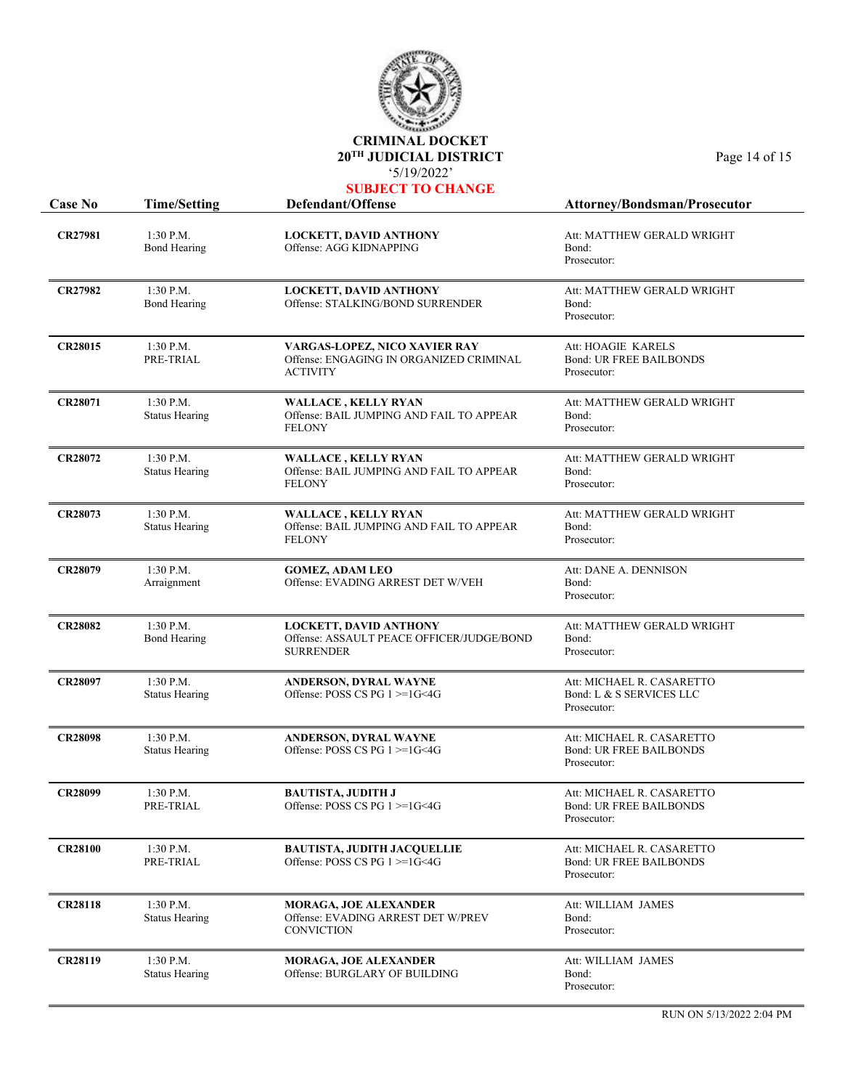

| UBJECT TO CHANGE |  |
|------------------|--|
|------------------|--|

| <b>Case No</b> | <b>Time/Setting</b>                  | Defendant/Offense                                                                              | <b>Attorney/Bondsman/Prosecutor</b>                                        |
|----------------|--------------------------------------|------------------------------------------------------------------------------------------------|----------------------------------------------------------------------------|
| <b>CR27981</b> | $1:30$ P.M.<br><b>Bond Hearing</b>   | <b>LOCKETT, DAVID ANTHONY</b><br>Offense: AGG KIDNAPPING                                       | Att: MATTHEW GERALD WRIGHT<br>Bond:<br>Prosecutor:                         |
| <b>CR27982</b> | $1:30$ P.M.<br><b>Bond Hearing</b>   | <b>LOCKETT, DAVID ANTHONY</b><br>Offense: STALKING/BOND SURRENDER                              | Att: MATTHEW GERALD WRIGHT<br>Bond:<br>Prosecutor:                         |
| <b>CR28015</b> | 1:30 P.M.<br>PRE-TRIAL               | VARGAS-LOPEZ, NICO XAVIER RAY<br>Offense: ENGAGING IN ORGANIZED CRIMINAL<br><b>ACTIVITY</b>    | Att: HOAGIE KARELS<br><b>Bond: UR FREE BAILBONDS</b><br>Prosecutor:        |
| <b>CR28071</b> | 1:30 P.M.<br><b>Status Hearing</b>   | <b>WALLACE, KELLY RYAN</b><br>Offense: BAIL JUMPING AND FAIL TO APPEAR<br><b>FELONY</b>        | Att: MATTHEW GERALD WRIGHT<br>Bond:<br>Prosecutor:                         |
| <b>CR28072</b> | 1:30 P.M.<br><b>Status Hearing</b>   | <b>WALLACE, KELLY RYAN</b><br>Offense: BAIL JUMPING AND FAIL TO APPEAR<br><b>FELONY</b>        | Att: MATTHEW GERALD WRIGHT<br>Bond:<br>Prosecutor:                         |
| <b>CR28073</b> | 1:30 P.M.<br><b>Status Hearing</b>   | <b>WALLACE, KELLY RYAN</b><br>Offense: BAIL JUMPING AND FAIL TO APPEAR<br><b>FELONY</b>        | Att: MATTHEW GERALD WRIGHT<br>Bond:<br>Prosecutor:                         |
| <b>CR28079</b> | $1:30$ P.M.<br>Arraignment           | <b>GOMEZ, ADAM LEO</b><br>Offense: EVADING ARREST DET W/VEH                                    | Att: DANE A. DENNISON<br>Bond:<br>Prosecutor:                              |
| <b>CR28082</b> | 1:30 P.M.<br><b>Bond Hearing</b>     | <b>LOCKETT, DAVID ANTHONY</b><br>Offense: ASSAULT PEACE OFFICER/JUDGE/BOND<br><b>SURRENDER</b> | Att: MATTHEW GERALD WRIGHT<br>Bond:<br>Prosecutor:                         |
| <b>CR28097</b> | 1:30 P.M.<br><b>Status Hearing</b>   | ANDERSON, DYRAL WAYNE<br>Offense: POSS CS PG 1 >=1G<4G                                         | Att: MICHAEL R. CASARETTO<br>Bond: L & S SERVICES LLC<br>Prosecutor:       |
| <b>CR28098</b> | $1:30$ P.M.<br><b>Status Hearing</b> | ANDERSON, DYRAL WAYNE<br>Offense: POSS CS PG $1 \geq 1$ G<4G                                   | Att: MICHAEL R. CASARETTO<br><b>Bond: UR FREE BAILBONDS</b><br>Prosecutor: |
| <b>CR28099</b> | 1:30 P.M.<br>PRE-TRIAL               | <b>BAUTISTA, JUDITH J</b><br>Offense: POSS CS PG 1 >=1G<4G                                     | Att: MICHAEL R. CASARETTO<br><b>Bond: UR FREE BAILBONDS</b><br>Prosecutor: |
| <b>CR28100</b> | $1:30$ P.M.<br>PRE-TRIAL             | <b>BAUTISTA, JUDITH JACQUELLIE</b><br>Offense: POSS CS PG 1 >=1G<4G                            | Att: MICHAEL R. CASARETTO<br><b>Bond: UR FREE BAILBONDS</b><br>Prosecutor: |
| <b>CR28118</b> | 1:30 P.M.<br><b>Status Hearing</b>   | <b>MORAGA, JOE ALEXANDER</b><br>Offense: EVADING ARREST DET W/PREV<br><b>CONVICTION</b>        | Att: WILLIAM JAMES<br>Bond:<br>Prosecutor:                                 |
| <b>CR28119</b> | $1:30$ P.M.<br><b>Status Hearing</b> | <b>MORAGA, JOE ALEXANDER</b><br>Offense: BURGLARY OF BUILDING                                  | Att: WILLIAM JAMES<br>Bond:<br>Prosecutor:                                 |